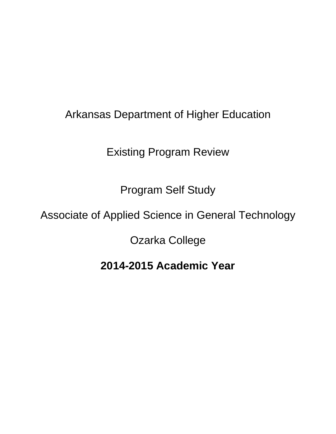# Arkansas Department of Higher Education

Existing Program Review

Program Self Study

# Associate of Applied Science in General Technology

Ozarka College

# **2014-2015 Academic Year**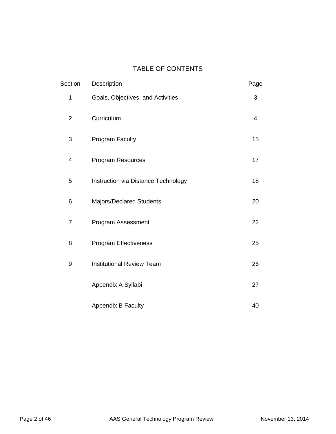# TABLE OF CONTENTS

| Section        | Description                         | Page |
|----------------|-------------------------------------|------|
| 1              | Goals, Objectives, and Activities   | 3    |
| $\overline{2}$ | Curriculum                          | 4    |
| 3              | <b>Program Faculty</b>              | 15   |
| 4              | Program Resources                   | 17   |
| 5              | Instruction via Distance Technology | 18   |
| 6              | Majors/Declared Students            | 20   |
| $\overline{7}$ | Program Assessment                  | 22   |
| 8              | <b>Program Effectiveness</b>        | 25   |
| 9              | <b>Institutional Review Team</b>    | 26   |
|                | Appendix A Syllabi                  | 27   |
|                | <b>Appendix B Faculty</b>           | 40   |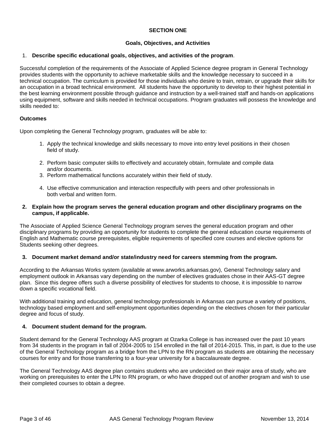# **SECTION ONE**

# **Goals, Objectives, and Activities**

# 1. **Describe specific educational goals, objectives, and activities of the program**.

Successful completion of the requirements of the Associate of Applied Science degree program in General Technology provides students with the opportunity to achieve marketable skills and the knowledge necessary to succeed in a technical occupation. The curriculum is provided for those individuals who desire to train, retrain, or upgrade their skills for an occupation in a broad technical environment. All students have the opportunity to develop to their highest potential in the best learning environment possible through guidance and instruction by a well-trained staff and hands-on applications using equipment, software and skills needed in technical occupations. Program graduates will possess the knowledge and skills needed to:

#### **Outcomes**

Upon completing the General Technology program, graduates will be able to:

- 1. Apply the technical knowledge and skills necessary to move into entry level positions in their chosen field of study.
- 2. Perform basic computer skills to effectively and accurately obtain, formulate and compile data and/or documents.
- 3. Perform mathematical functions accurately within their field of study.
- 4. Use effective communication and interaction respectfully with peers and other professionals in both verbal and written form.

### **2. Explain how the program serves the general education program and other disciplinary programs on the campus, if applicable.**

The Associate of Applied Science General Technology program serves the general education program and other disciplinary programs by providing an opportunity for students to complete the general education course requirements of English and Mathematic course prerequisites, eligible requirements of specified core courses and elective options for Students seeking other degrees.

#### **3. Document market demand and/or state/industry need for careers stemming from the program.**

According to the Arkansas Works system (available at www.arworks.arkansas.gov), General Technology salary and employment outlook in Arkansas vary depending on the number of electives graduates chose in their AAS-GT degree plan. Since this degree offers such a diverse possibility of electives for students to choose, it is impossible to narrow down a specific vocational field.

With additional training and education, general technology professionals in Arkansas can pursue a variety of positions, technology based employment and self-employment opportunities depending on the electives chosen for their particular degree and focus of study.

#### **4. Document student demand for the program.**

Student demand for the General Technology AAS program at Ozarka College is has increased over the past 10 years from 34 students in the program in fall of 2004-2005 to 154 enrolled in the fall of 2014-2015. This, in part, is due to the use of the General Technology program as a bridge from the LPN to the RN program as students are obtaining the necessary courses for entry and for those transferring to a four-year university for a baccalaureate degree.

The General Technology AAS degree plan contains students who are undecided on their major area of study, who are working on prerequisites to enter the LPN to RN program, or who have dropped out of another program and wish to use their completed courses to obtain a degree.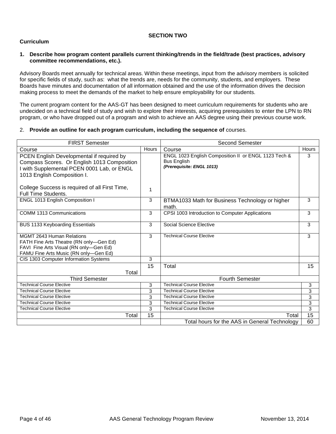# **SECTION TWO**

# **Curriculum**

### **1. Describe how program content parallels current thinking/trends in the field/trade (best practices, advisory committee recommendations, etc.).**

Advisory Boards meet annually for technical areas. Within these meetings, input from the advisory members is solicited for specific fields of study, such as: what the trends are, needs for the community, students, and employers. These Boards have minutes and documentation of all information obtained and the use of the information drives the decision making process to meet the demands of the market to help ensure employability for our students.

The current program content for the AAS-GT has been designed to meet curriculum requirements for students who are undecided on a technical field of study and wish to explore their interests, acquiring prerequisites to enter the LPN to RN program, or who have dropped out of a program and wish to achieve an AAS degree using their previous course work.

# 2. **Provide an outline for each program curriculum, including the sequence of** courses.

| <b>FIRST Semester</b>                                                                                                                                                 |       | <b>Second Semester</b>                                                                                  |       |  |
|-----------------------------------------------------------------------------------------------------------------------------------------------------------------------|-------|---------------------------------------------------------------------------------------------------------|-------|--|
| Course                                                                                                                                                                | Hours | Course                                                                                                  | Hours |  |
| PCEN English Developmental if required by<br>Compass Scores. Or English 1013 Composition<br>I with Supplemental PCEN 0001 Lab, or ENGL<br>1013 English Composition I. |       | ENGL 1023 English Composition II or ENGL 1123 Tech &<br><b>Bus English</b><br>(Prerequisite: ENGL 1013) | 3     |  |
| College Success is required of all First Time,<br><b>Full Time Students.</b>                                                                                          | 1     |                                                                                                         |       |  |
| ENGL 1013 English Composition I                                                                                                                                       | 3     | BTMA1033 Math for Business Technology or higher<br>math.                                                | 3     |  |
| COMM 1313 Communications                                                                                                                                              | 3     | CPSI 1003 Introduction to Computer Applications                                                         | 3     |  |
| <b>BUS 1133 Keyboarding Essentials</b>                                                                                                                                | 3     | Social Science Elective                                                                                 | 3     |  |
| <b>MGMT 2643 Human Relations</b><br>FATH Fine Arts Theatre (RN only-Gen Ed)<br>FAVI Fine Arts Visual (RN only-Gen Ed)<br>FAMU Fine Arts Music (RN only-Gen Ed)        | 3     | <b>Technical Course Elective</b>                                                                        | 3     |  |
| CIS 1303 Computer Information Systems                                                                                                                                 | 3     |                                                                                                         |       |  |
| Total                                                                                                                                                                 | 15    | Total                                                                                                   | 15    |  |
| <b>Third Semester</b>                                                                                                                                                 |       | <b>Fourth Semester</b>                                                                                  |       |  |
| <b>Technical Course Elective</b>                                                                                                                                      | 3     | Technical Course Elective                                                                               | 3     |  |
| <b>Technical Course Elective</b>                                                                                                                                      | 3     | <b>Technical Course Elective</b>                                                                        | 3     |  |
| <b>Technical Course Elective</b>                                                                                                                                      | 3     | Technical Course Elective                                                                               | 3     |  |
| <b>Technical Course Elective</b>                                                                                                                                      | 3     | <b>Technical Course Elective</b>                                                                        | 3     |  |
| <b>Technical Course Elective</b>                                                                                                                                      | 3     | <b>Technical Course Elective</b>                                                                        | 3     |  |
| Total                                                                                                                                                                 | 15    | Total                                                                                                   | 15    |  |
|                                                                                                                                                                       |       | Total hours for the AAS in General Technology                                                           | 60    |  |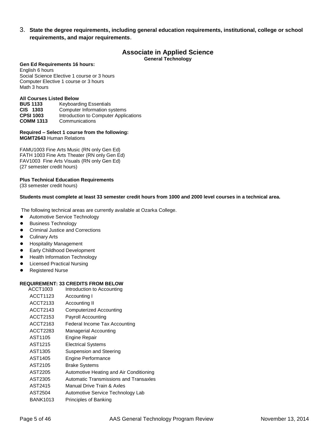3. **State the degree requirements, including general education requirements, institutional, college or school requirements, and major requirements**.

# **Associate in Applied Science**

**General Technology**

#### **Gen Ed Requirements 16 hours:**

English 6 hours Social Science Elective 1 course or 3 hours Computer Elective 1 course or 3 hours Math 3 hours

#### **All Courses Listed Below**

**BUS 1133** Keyboarding Essentials **CIS 1303** Computer Information systems<br> **CPSI 1003** Introduction to Computer Applic **Introduction to Computer Applications COMM 1313** Communications

#### **Required – Select 1 course from the following: MGMT2643** Human Relations

FAMU1003 Fine Arts Music (RN only Gen Ed) FATH 1003 Fine Arts Theater (RN only Gen Ed) FAV1003 Fine Arts Visuals (RN only Gen Ed) (27 semester credit hours)

#### **Plus Technical Education Requirements**

(33 semester credit hours)

#### **Students must complete at least 33 semester credit hours from 1000 and 2000 level courses in a technical area.**

The following technical areas are currently available at Ozarka College.

- Automotive Service Technology
- **Business Technology**
- Criminal Justice and Corrections
- **Culinary Arts**
- **Hospitality Management**
- **Early Childhood Development**
- Health Information Technology
- Licensed Practical Nursing
- Registered Nurse

### **REQUIREMENT: 33 CREDITS FROM BELOW**

| ACCT1003        | Introduction to Accounting              |
|-----------------|-----------------------------------------|
| ACCT1123        | Accounting I                            |
| ACCT2133        | Accounting II                           |
| ACCT2143        | Computerized Accounting                 |
| ACCT2153        | Payroll Accounting                      |
| ACCT2163        | Federal Income Tax Accounting           |
| ACCT2283        | <b>Managerial Accounting</b>            |
| AST1105         | Engine Repair                           |
| AST1215         | <b>Electrical Systems</b>               |
| AST1305         | Suspension and Steering                 |
| AST1405         | Engine Performance                      |
| AST2105         | <b>Brake Systems</b>                    |
| AST2205         | Automotive Heating and Air Conditioning |
| AST2305         | Automatic Transmissions and Transaxles  |
| AST2415         | Manual Drive Train & Axles              |
| AST2504         | Automotive Service Technology Lab       |
| <b>BANK1013</b> | Principles of Banking                   |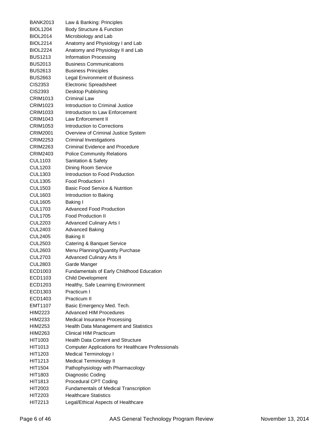| BANK2013                    | Law & Banking: Principles                                         |
|-----------------------------|-------------------------------------------------------------------|
| <b>BIOL1204</b>             | Body Structure & Function                                         |
| <b>BIOL2014</b>             | Microbiology and Lab                                              |
| <b>BIOL2214</b>             | Anatomy and Physiology I and Lab                                  |
| <b>BIOL2224</b>             | Anatomy and Physiology II and Lab                                 |
| <b>BUS1213</b>              | <b>Information Processing</b>                                     |
| <b>BUS2013</b>              | <b>Business Communications</b>                                    |
| BUS2613                     | <b>Business Principles</b>                                        |
| <b>BUS2663</b>              | <b>Legal Environment of Business</b>                              |
| CIS2353                     | <b>Electronic Spreadsheet</b>                                     |
| CIS2393                     | Desktop Publishing                                                |
| CRIM1013                    | <b>Criminal Law</b>                                               |
| CRIM1023                    | Introduction to Criminal Justice                                  |
| <b>CRIM1033</b>             | Introduction to Law Enforcement                                   |
| CRIM1043                    | Law Enforcement II                                                |
| CRIM1053                    | Introduction to Corrections                                       |
|                             |                                                                   |
| CRIM2001<br><b>CRIM2253</b> | Overview of Criminal Justice System                               |
|                             | Criminal Investigations<br><b>Criminal Evidence and Procedure</b> |
| <b>CRIM2263</b>             |                                                                   |
| CRIM2403                    | <b>Police Community Relations</b>                                 |
| <b>CUL1103</b>              | Sanitation & Safety                                               |
| <b>CUL1203</b>              | <b>Dining Room Service</b>                                        |
| CUL1303                     | Introduction to Food Production                                   |
| <b>CUL1305</b>              | <b>Food Production I</b>                                          |
| <b>CUL1503</b>              | <b>Basic Food Service &amp; Nutrition</b>                         |
| <b>CUL1603</b>              | Introduction to Baking                                            |
| CUL1605                     | Baking I                                                          |
| CUL1703                     | <b>Advanced Food Production</b>                                   |
| <b>CUL1705</b>              | <b>Food Production II</b>                                         |
| <b>CUL2203</b>              | <b>Advanced Culinary Arts I</b>                                   |
| <b>CUL2403</b>              | <b>Advanced Baking</b>                                            |
| <b>CUL2405</b>              | <b>Baking II</b>                                                  |
| <b>CUL2503</b>              | Catering & Banquet Service                                        |
| <b>CUL2603</b>              | Menu Planning/Quantity Purchase                                   |
| <b>CUL2703</b>              | <b>Advanced Culinary Arts II</b>                                  |
| <b>CUL2803</b>              | Garde Manger                                                      |
| ECD1003                     | Fundamentals of Early Childhood Education                         |
| ECD1103                     | <b>Child Development</b>                                          |
| ECD1203                     | Healthy, Safe Learning Environment                                |
| ECD1303                     | Practicum I                                                       |
| ECD1403                     | Practicum II                                                      |
| EMT1107                     | Basic Emergency Med. Tech.                                        |
| HIM2223                     | <b>Advanced HIM Procedures</b>                                    |
| HIM2233                     | Medical Insurance Processing                                      |
| HIM2253                     | Health Data Management and Statistics                             |
| HIM2263                     | <b>Clinical HIM Practicum</b>                                     |
| HIT1003                     | <b>Health Data Content and Structure</b>                          |
| HIT1013                     | <b>Computer Applications for Healthcare Professionals</b>         |
| HIT1203                     | Medical Terminology I                                             |
| HIT1213                     | <b>Medical Terminology II</b>                                     |
| HIT1504                     | Pathophysiology with Pharmacology                                 |
| HIT1803                     | Diagnostic Coding                                                 |
| <b>HIT1813</b>              | Procedural CPT Coding                                             |
| HIT2003                     | <b>Fundamentals of Medical Transcription</b>                      |
| HIT2203                     | <b>Healthcare Statistics</b>                                      |
| HIT2213                     | Legal/Ethical Aspects of Healthcare                               |
|                             |                                                                   |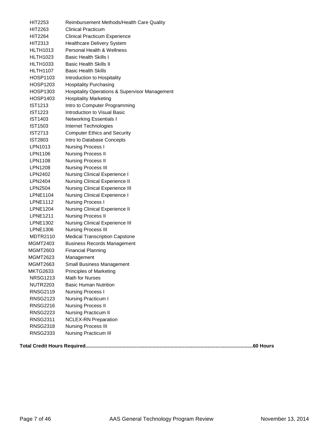| HIT2253         | Reimbursement Methods/Health Care Quality                 |
|-----------------|-----------------------------------------------------------|
| HIT2263         | <b>Clinical Practicum</b>                                 |
| <b>HIT2264</b>  | <b>Clinical Practicum Experience</b>                      |
| HIT2313         | <b>Healthcare Delivery System</b>                         |
| <b>HLTH1013</b> | Personal Health & Wellness                                |
| <b>HLTH1023</b> | <b>Basic Health Skills I</b>                              |
| <b>HLTH1033</b> | <b>Basic Health Skills II</b>                             |
| <b>HLTH1107</b> | <b>Basic Health Skills</b>                                |
| HOSP1103        | Introduction to Hospitality                               |
| <b>HOSP1203</b> | <b>Hospitality Purchasing</b>                             |
| HOSP1303        | <b>Hospitality Operations &amp; Supervisor Management</b> |
| HOSP1403        | <b>Hospitality Marketing</b>                              |
| <b>IST1213</b>  | Intro to Computer Programming                             |
| <b>IST1223</b>  | Introduction to Visual Basic                              |
| <b>IST1403</b>  | <b>Networking Essentials I</b>                            |
| <b>IST1503</b>  | Internet Technologies                                     |
| <b>IST2713</b>  | <b>Computer Ethics and Security</b>                       |
| <b>IST2803</b>  | Intro to Database Concepts                                |
| LPN1013         | <b>Nursing Process I</b>                                  |
| LPN1106         | <b>Nursing Process II</b>                                 |
| LPN1108         | <b>Nursing Process II</b>                                 |
| LPN1208         | <b>Nursing Process III</b>                                |
| LPN2402         | Nursing Clinical Experience I                             |
| LPN2404         | Nursing Clinical Experience II                            |
| LPN2504         | Nursing Clinical Experience III                           |
| LPNE1104        | Nursing Clinical Experience I                             |
| <b>LPNE1112</b> | <b>Nursing Process I</b>                                  |
| <b>LPNE1204</b> | Nursing Clinical Experience II                            |
| <b>LPNE1211</b> | <b>Nursing Process II</b>                                 |
| <b>LPNE1302</b> | Nursing Clinical Experience III                           |
| <b>LPNE1306</b> | Nursing Process III                                       |
| <b>MDTR2110</b> | <b>Medical Transcription Capstone</b>                     |
| <b>MGMT2403</b> | <b>Business Records Management</b>                        |
| <b>MGMT2603</b> | <b>Financial Planning</b>                                 |
| MGMT2623        | Management                                                |
| <b>MGMT2663</b> | Small Business Management                                 |
| <b>MKTG2633</b> | Principles of Marketing                                   |
| <b>NRSG1213</b> | Math for Nurses                                           |
| <b>NUTR2203</b> | <b>Basic Human Nutrition</b>                              |
| RNSG2119        | <b>Nursing Process I</b>                                  |
| <b>RNSG2123</b> | Nursing Practicum I                                       |
| <b>RNSG2216</b> | <b>Nursing Process II</b>                                 |
| <b>RNSG2223</b> | Nursing Practicum II                                      |
| <b>RNSG2311</b> | <b>NCLEX-RN Preparation</b>                               |
| <b>RNSG2318</b> | <b>Nursing Process III</b>                                |
| <b>RNSG2333</b> | Nursing Practicum III                                     |
|                 |                                                           |

**Total Credit Hours Required..........................................................................................................................60 Hours**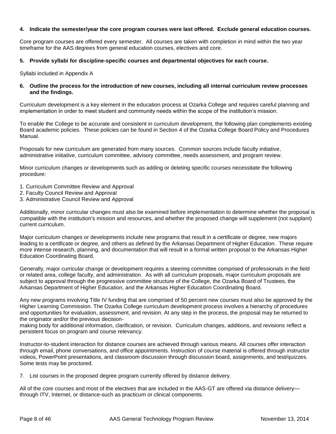### **4. Indicate the semester/year the core program courses were last offered. Exclude general education courses.**

Core program courses are offered every semester. All courses are taken with completion in mind within the two year timeframe for the AAS degrees from general education courses, electives and core.

# **5. Provide syllabi for discipline-specific courses and departmental objectives for each course.**

Syllabi included in Appendix A

### **6. Outline the process for the introduction of new courses, including all internal curriculum review processes and the findings.**

Curriculum development is a key element in the education process at Ozarka College and requires careful planning and implementation in order to meet student and community needs within the scope of the institution's mission.

To enable the College to be accurate and consistent in curriculum development, the following plan complements existing Board academic policies. These policies can be found in Section 4 of the Ozarka College Board Policy and Procedures Manual.

Proposals for new curriculum are generated from many sources. Common sources include faculty initiative, administrative initiative, curriculum committee, advisory committee, needs assessment, and program review.

Minor curriculum changes or developments such as adding or deleting specific courses necessitate the following procedure:

- 1. Curriculum Committee Review and Approval
- 2. Faculty Council Review and Approval
- 3. Administrative Council Review and Approval

Additionally, minor curricular changes must also be examined before implementation to determine whether the proposal is compatible with the institution's mission and resources, and whether the proposed change will supplement (not supplant) current curriculum.

Major curriculum changes or developments include new programs that result in a certificate or degree, new majors leading to a certificate or degree, and others as defined by the Arkansas Department of Higher Education. These require more intense research, planning, and documentation that will result in a formal written proposal to the Arkansas Higher Education Coordinating Board.

Generally, major curricular change or development requires a steering committee comprised of professionals in the field or related area, college faculty, and administration. As with all curriculum proposals, major curriculum proposals are subject to approval through the progressive committee structure of the College, the Ozarka Board of Trustees, the Arkansas Department of Higher Education, and the Arkansas Higher Education Coordinating Board.

Any new programs involving Title IV funding that are comprised of 50 percent new courses must also be approved by the Higher Learning Commission. The Ozarka College curriculum development process involves a hierarchy of procedures and opportunities for evaluation, assessment, and revision. At any step in the process, the proposal may be returned to the originator and/or the previous decision-

making body for additional information, clarification, or revision. Curriculum changes, additions, and revisions reflect a persistent focus on program and course relevancy.

Instructor-to-student interaction for distance courses are achieved through various means. All courses offer interaction through email, phone conversations, and office appointments. Instruction of course material is offered through instructor videos, PowerPoint presentations, and classroom discussion through discussion board, assignments, and test/quizzes. Some tests may be proctored.

7. List courses in the proposed degree program currently offered by distance delivery.

All of the core courses and most of the electives that are included in the AAS-GT are offered via distance delivery through ITV, Internet, or distance-such as practicum or clinical components.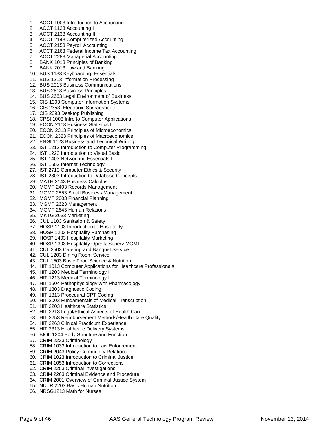- 1. ACCT 1003 Introduction to Accounting
- 2. ACCT 1123 Accounting I
- 3. ACCT 2133 Accounting II
- 4. ACCT 2143 Computerized Accounting
- 5. ACCT 2153 Payroll Accounting
- 6. ACCT 2163 Federal Income Tax Accounting
- 7. ACCT 2283 Managerial Accounting
- 8. BANK 1013 Principles of Banking
- 9. BANK 2013 Law and Banking
- 10. BUS 1133 Keyboarding Essentials
- 11. BUS 1213 Information Processing
- 12. BUS 2013 Business Communications
- 13. BUS 2613 Business Principles
- 14. BUS 2663 Legal Environment of Business
- 15. CIS 1303 Computer Information Systems
- 16. CIS 2353 Electronic Spreadsheets
- 17. CIS 2393 Desktop Publishing
- 18. CPSI 1003 Intro to Computer Applications
- 19. ECON 2113 Business Statistics I
- 20. ECON 2313 Principles of Microeconomics
- 21. ECON 2323 Principles of Macroeconomics
- 22. ENGL1123 Business and Technical Writing
- 23. IST 1213 Introduction to Computer Programming
- 24. IST 1223 Introduction to Visual Basic
- 25. IST 1403 Networking Essentials I
- 26. IST 1503 Internet Technology
- 27. IST 2713 Computer Ethics & Security
- 28. IST 2803 Introduction to Database Concepts
- 29. MATH 2143 Business Calculus
- 30. MGMT 2403 Records Management
- 31. MGMT 2553 Small Business Management
- 32. MGMT 2603 Financial Planning
- 33. MGMT 2623 Management
- 34. MGMT 2643 Human Relations
- 35. MKTG 2633 Marketing
- 36. CUL 1103 Sanitation & Safety
- 37. HOSP 1103 Introduction to Hospitality
- 38. HOSP 1203 Hospitality Purchasing
- 39. HOSP 1403 Hospitality Marketing
- 40. HOSP 1303 Hospitality Oper & Superv MGMT
- 41. CUL 2503 Catering and Banquet Service
- 42. CUL 1203 Dining Room Service
- 43. CUL 1503 Basic Food Science & Nutrition
- 44. HIT 1013 Computer Applications for Healthcare Professionals
- 45. HIT 1203 Medical Terminology I
- 46. HIT 1213 Medical Terminology II
- 47. HIT 1504 Pathophysiology with Pharmacology
- 48. HIT 1803 Diagnostic Coding
- 49. HIT 1813 Procedural CPT Coding
- 50. HIT 2003 Fundamentals of Medical Transcription
- 51. HIT 2203 Healthcare Statistics
- 52. HIT 2213 Legal/Ethical Aspects of Health Care
- 53. HIT 2253 Reimbursement Methods/Health Care Quality
- 54. HIT 2263 Clinical Practicum Experience
- 55. HIT 2313 Healthcare Delivery Systems
- 56. BIOL 1204 Body Structure and Function
- 57. CRIM 2233 Criminology
- 58. CRIM 1033 Introduction to Law Enforcement
- 59. CRIM 2043 Policy Community Relations
- 60. CRIM 1023 Introduction to Criminal Justice
- 61. CRIM 1053 Introduction to Corrections
- 62. CRIM 2253 Criminal Investigations
- 63. CRIM 2263 Criminal Evidence and Procedure
- 64. CRIM 2001 Overview of Criminal Justice System
- 65. NUTR 2203 Basic Human Nutrition
- 66. NRSG1213 Math for Nurses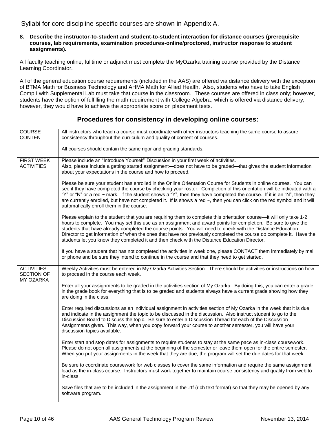Syllabi for core discipline-specific courses are shown in Appendix A.

**8. Describe the instructor-to-student and student-to-student interaction for distance courses (prerequisite courses, lab requirements, examination procedures-online/proctored, instructor response to student assignments).**

All faculty teaching online, fulltime or adjunct must complete the MyOzarka training course provided by the Distance Learning Coordinator.

All of the general education course requirements (included in the AAS) are offered via distance delivery with the exception of BTMA Math for Business Technology and AHMA Math for Allied Health. Also, students who have to take English Comp I with Supplemental Lab must take that course in the classroom. These courses are offered in class only; however, students have the option of fulfilling the math requirement with College Algebra, which is offered via distance delivery; however, they would have to achieve the appropriate score on placement tests.

#### **COURSE** CONTENT All instructors who teach a course must coordinate with other instructors teaching the same course to assure consistency throughout the curriculum and quality of content of courses. All courses should contain the same rigor and grading standards. FIRST WEEK ACTIVITIES Please include an "Introduce Yourself" Discussion in your first week of activities. Also, please include a getting started assignment—does not have to be graded—that gives the student information about your expectations in the course and how to proceed. Please be sure your student has enrolled in the Online Orientation Course for Students in online courses. You can see if they have completed the course by checking your roster. Completion of this orientation will be indicated with a "Y" or "N" or a red ~ mark. If the student shows a "Y", then they have completed the course. If it is an "N", then they are currently enrolled, but have not completed it. If is shows a red ~, then you can click on the red symbol and it will automatically enroll them in the course. Please explain to the student that you are requiring them to complete this orientation course—it will only take 1-2 hours to complete. You may set this use as an assignment and award points for completion. Be sure to give the students that have already completed the course points. You will need to check with the Distance Education Director to get information of when the ones that have not previously completed the course do complete it. Have the students let you know they completed it and then check with the Distance Education Director. If you have a student that has not completed the activities in week one, please CONTACT them immediately by mail or phone and be sure they intend to continue in the course and that they need to get started. **ACTIVITIES** SECTION OF MY OZARKA Weekly Activities must be entered in My Ozarka Activities Section. There should be activities or instructions on how to proceed in the course each week. Enter all your assignments to be graded in the activities section of My Ozarka. By doing this, you can enter a grade in the grade book for everything that is to be graded and students always have a current grade showing how they are doing in the class. Enter required discussions as an individual assignment in activities section of My Ozarka in the week that it is due, and indicate in the assignment the topic to be discussed in the discussion. Also instruct student to go to the Discussion Board to Discuss the topic. Be sure to enter a Discussion Thread for each of the Discussion Assignments given. This way, when you copy forward your course to another semester, you will have your discussion topics available. Enter start and stop dates for assignments to require students to stay at the same pace as in-class coursework. Please do not open all assignments at the beginning of the semester or leave them open for the entire semester. When you put your assignments in the week that they are due, the program will set the due dates for that week. Be sure to coordinate coursework for web classes to cover the same information and require the same assignment load as the in-class course. Instructors must work together to maintain course consistency and quality from web to in-class. Save files that are to be included in the assignment in the .rtf (rich text format) so that they may be opened by any software program.

# **Procedures for consistency in developing online courses:**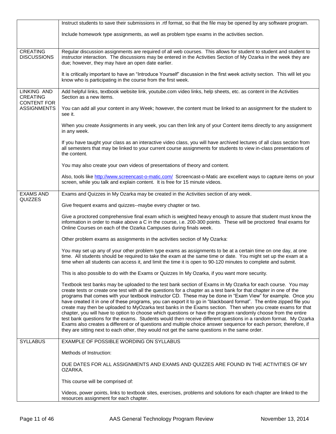|                                          | Instruct students to save their submissions in .rtf format, so that the file may be opened by any software program.                                                                                                                                                                                                                                                                                                                                                                                                                                                                                                                                                                                                                                                                                                                                                                                                                                                                                                                                   |
|------------------------------------------|-------------------------------------------------------------------------------------------------------------------------------------------------------------------------------------------------------------------------------------------------------------------------------------------------------------------------------------------------------------------------------------------------------------------------------------------------------------------------------------------------------------------------------------------------------------------------------------------------------------------------------------------------------------------------------------------------------------------------------------------------------------------------------------------------------------------------------------------------------------------------------------------------------------------------------------------------------------------------------------------------------------------------------------------------------|
|                                          | Include homework type assignments, as well as problem type exams in the activities section.                                                                                                                                                                                                                                                                                                                                                                                                                                                                                                                                                                                                                                                                                                                                                                                                                                                                                                                                                           |
| <b>CREATING</b><br><b>DISCUSSIONS</b>    | Regular discussion assignments are required of all web courses. This allows for student to student and student to<br>instructor interaction. The discussions may be entered in the Activities Section of My Ozarka in the week they are<br>due; however, they may have an open date earlier.                                                                                                                                                                                                                                                                                                                                                                                                                                                                                                                                                                                                                                                                                                                                                          |
|                                          | It is critically important to have an "Introduce Yourself" discussion in the first week activity section. This will let you<br>know who is participating in the course from the first week.                                                                                                                                                                                                                                                                                                                                                                                                                                                                                                                                                                                                                                                                                                                                                                                                                                                           |
| LINKING AND<br><b>CREATING</b>           | Add helpful links, textbook website link, youtube.com video links, help sheets, etc. as content in the Activities<br>Section as a new items.                                                                                                                                                                                                                                                                                                                                                                                                                                                                                                                                                                                                                                                                                                                                                                                                                                                                                                          |
| <b>CONTENT FOR</b><br><b>ASSIGNMENTS</b> | You can add all your content in any Week; however, the content must be linked to an assignment for the student to<br>see it.                                                                                                                                                                                                                                                                                                                                                                                                                                                                                                                                                                                                                                                                                                                                                                                                                                                                                                                          |
|                                          | When you create Assignments in any week, you can then link any of your Content items directly to any assignment<br>in any week.                                                                                                                                                                                                                                                                                                                                                                                                                                                                                                                                                                                                                                                                                                                                                                                                                                                                                                                       |
|                                          | If you have taught your class as an interactive video class, you will have archived lectures of all class section from<br>all semesters that may be linked to your current course assignments for students to view in-class presentations of<br>the content.                                                                                                                                                                                                                                                                                                                                                                                                                                                                                                                                                                                                                                                                                                                                                                                          |
|                                          | You may also create your own videos of presentations of theory and content.                                                                                                                                                                                                                                                                                                                                                                                                                                                                                                                                                                                                                                                                                                                                                                                                                                                                                                                                                                           |
|                                          | Also, tools like http://www.screencast-o-matic.com/ Screencast-o-Matic are excellent ways to capture items on your<br>screen, while you talk and explain content. It is free for 15 minute videos.                                                                                                                                                                                                                                                                                                                                                                                                                                                                                                                                                                                                                                                                                                                                                                                                                                                    |
| <b>EXAMS AND</b><br>QUIZZES              | Exams and Quizzes in My Ozarka may be created in the Activities section of any week.                                                                                                                                                                                                                                                                                                                                                                                                                                                                                                                                                                                                                                                                                                                                                                                                                                                                                                                                                                  |
|                                          | Give frequent exams and quizzes--maybe every chapter or two.                                                                                                                                                                                                                                                                                                                                                                                                                                                                                                                                                                                                                                                                                                                                                                                                                                                                                                                                                                                          |
|                                          | Give a proctored comprehensive final exam which is weighted heavy enough to assure that student must know the<br>information in order to make above a C in the course, i.e. 200-300 points. These will be proctored final exams for<br>Online Courses on each of the Ozarka Campuses during finals week.                                                                                                                                                                                                                                                                                                                                                                                                                                                                                                                                                                                                                                                                                                                                              |
|                                          | Other problem exams as assignments in the activities section of My Ozarka:                                                                                                                                                                                                                                                                                                                                                                                                                                                                                                                                                                                                                                                                                                                                                                                                                                                                                                                                                                            |
|                                          | You may set up any of your other problem type exams as assignments to be at a certain time on one day, at one<br>time. All students should be required to take the exam at the same time or date. You might set up the exam at a<br>time when all students can access it, and limit the time it is open to 90-120 minutes to complete and submit.                                                                                                                                                                                                                                                                                                                                                                                                                                                                                                                                                                                                                                                                                                     |
|                                          | This is also possible to do with the Exams or Quizzes In My Ozarka, if you want more security.                                                                                                                                                                                                                                                                                                                                                                                                                                                                                                                                                                                                                                                                                                                                                                                                                                                                                                                                                        |
|                                          | Textbook test banks may be uploaded to the test bank section of Exams in My Ozarka for each course. You may<br>create tests or create one test with all the questions for a chapter as a test bank for that chapter in one of the<br>programs that comes with your textbook instructor CD. These may be done in "Exam View" for example. Once you<br>have created it in one of these programs, you can export it to go in "blackboard format". The entire zipped file you<br>create may then be uploaded to MyOzarka test banks in the Exams section. Then when you create exams for that<br>chapter, you will have to option to choose which questions or have the program randomly choose from the entire<br>test bank questions for the exams. Students would then receive different questions in a random format. My Ozarka<br>Exams also creates a different or of questions and multiple choice answer sequence for each person; therefore, if<br>they are sitting next to each other, they would not get the same questions in the same order. |
| <b>SYLLABUS</b>                          | EXAMPLE OF POSSIBLE WORDING ON SYLLABUS                                                                                                                                                                                                                                                                                                                                                                                                                                                                                                                                                                                                                                                                                                                                                                                                                                                                                                                                                                                                               |
|                                          | Methods of Instruction:                                                                                                                                                                                                                                                                                                                                                                                                                                                                                                                                                                                                                                                                                                                                                                                                                                                                                                                                                                                                                               |
|                                          | DUE DATES FOR ALL ASSIGNMENTS AND EXAMS AND QUIZZES ARE FOUND IN THE ACTIVITIES OF MY<br>OZARKA.                                                                                                                                                                                                                                                                                                                                                                                                                                                                                                                                                                                                                                                                                                                                                                                                                                                                                                                                                      |
|                                          | This course will be comprised of:                                                                                                                                                                                                                                                                                                                                                                                                                                                                                                                                                                                                                                                                                                                                                                                                                                                                                                                                                                                                                     |
|                                          | Videos, power points, links to textbook sites, exercises, problems and solutions for each chapter are linked to the<br>resources assignment for each chapter.                                                                                                                                                                                                                                                                                                                                                                                                                                                                                                                                                                                                                                                                                                                                                                                                                                                                                         |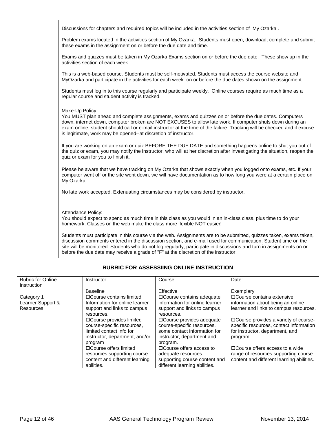|  | Discussions for chapters and required topics will be included in the activities section of My Ozarka.                                                                                                                                                                                                                                                                                                                                             |
|--|---------------------------------------------------------------------------------------------------------------------------------------------------------------------------------------------------------------------------------------------------------------------------------------------------------------------------------------------------------------------------------------------------------------------------------------------------|
|  | Problem exams located in the activities section of My Ozarka. Students must open, download, complete and submit<br>these exams in the assignment on or before the due date and time.                                                                                                                                                                                                                                                              |
|  | Exams and quizzes must be taken in My Ozarka Exams section on or before the due date. These show up in the<br>activities section of each week.                                                                                                                                                                                                                                                                                                    |
|  | This is a web-based course. Students must be self-motivated. Students must access the course website and<br>MyOzarka and participate in the activities for each week on or before the due dates shown on the assignment.                                                                                                                                                                                                                          |
|  | Students must log in to this course regularly and participate weekly. Online courses require as much time as a<br>regular course and student activity is tracked.                                                                                                                                                                                                                                                                                 |
|  | Make-Up Policy:<br>You MUST plan ahead and complete assignments, exams and quizzes on or before the due dates. Computers<br>down, internet down, computer broken are NOT EXCUSES to allow late work. If computer shuts down during an<br>exam online, student should call or e-mail instructor at the time of the failure. Tracking will be checked and if excuse<br>is legitimate, work may be opened--at discretion of instructor.              |
|  | If you are working on an exam or quiz BEFORE THE DUE DATE and something happens online to shut you out of<br>the quiz or exam, you may notify the instructor, who will at her discretion after investigating the situation, reopen the<br>quiz or exam for you to finish it.                                                                                                                                                                      |
|  | Please be aware that we have tracking on My Ozarka that shows exactly when you logged onto exams, etc. If your<br>computer went off or the site went down, we will have documentation as to how long you were at a certain place on<br>My Ozarka.                                                                                                                                                                                                 |
|  | No late work accepted. Extenuating circumstances may be considered by instructor.                                                                                                                                                                                                                                                                                                                                                                 |
|  | Attendance Policy:<br>You should expect to spend as much time in this class as you would in an in-class class, plus time to do your<br>homework. Classes on the web make the class more flexible NOT easier!                                                                                                                                                                                                                                      |
|  | Students must participate in this course via the web. Assignments are to be submitted, quizzes taken, exams taken,<br>discussion comments entered in the discussion section, and e-mail used for communication. Student time on the<br>site will be monitored. Students who do not log regularly, participate in discussions and turn in assignments on or<br>before the due date may receive a grade of "F" at the discretion of the instructor. |

# **RUBRIC FOR ASSESSIING ONLINE INSTRUCTION**

| <b>Rubric for Online</b><br>Instruction             | Instructor:                                                                                                                                    | Course:                                                                                                                                          | Date:                                                                                                                            |
|-----------------------------------------------------|------------------------------------------------------------------------------------------------------------------------------------------------|--------------------------------------------------------------------------------------------------------------------------------------------------|----------------------------------------------------------------------------------------------------------------------------------|
|                                                     | <b>Baseline</b>                                                                                                                                | Effective                                                                                                                                        | Exemplary                                                                                                                        |
| Category 1<br>Learner Support &<br><b>Resources</b> | □ Course contains limited<br>Information for online learner<br>support and links to campus                                                     | □ Course contains adequate<br>information for online learner<br>support and links to campus                                                      | □ Course contains extensive<br>information about being an online<br>learner and links to campus resources.                       |
|                                                     | resources.<br>□ Course provides limited<br>course-specific resources,<br>limited contact info for<br>instructor, department, and/or<br>program | resources.<br>□ Course provides adequate<br>course-specific resources,<br>some contact information for<br>instructor, department and<br>program. | □ Course provides a variety of course-<br>specific resources, contact information<br>for instructor, department, and<br>program. |
|                                                     | □ Course offers limited<br>resources supporting course<br>content and different learning<br>abilities.                                         | □ Course offers access to<br>adequate resources<br>supporting course content and<br>different learning abilities.                                | $\Box$ Course offers access to a wide<br>range of resources supporting course<br>content and different learning abilities.       |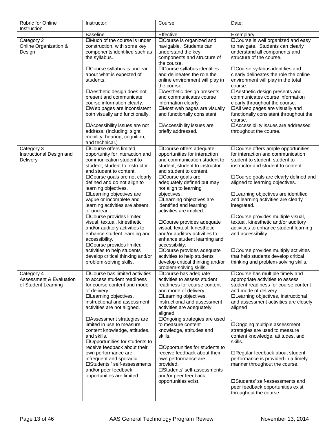| <b>Rubric for Online</b><br>Instruction                                 | Instructor:                                                                                                                                                                                                                                                                                                                                                                                                                                                                                                                                                                                                                  | Course:                                                                                                                                                                                                                                                                                                                                                                                                                                                                                                                                                                                                         | Date:                                                                                                                                                                                                                                                                                                                                                                                                                                                                                                                                                                                            |
|-------------------------------------------------------------------------|------------------------------------------------------------------------------------------------------------------------------------------------------------------------------------------------------------------------------------------------------------------------------------------------------------------------------------------------------------------------------------------------------------------------------------------------------------------------------------------------------------------------------------------------------------------------------------------------------------------------------|-----------------------------------------------------------------------------------------------------------------------------------------------------------------------------------------------------------------------------------------------------------------------------------------------------------------------------------------------------------------------------------------------------------------------------------------------------------------------------------------------------------------------------------------------------------------------------------------------------------------|--------------------------------------------------------------------------------------------------------------------------------------------------------------------------------------------------------------------------------------------------------------------------------------------------------------------------------------------------------------------------------------------------------------------------------------------------------------------------------------------------------------------------------------------------------------------------------------------------|
|                                                                         | <b>Baseline</b>                                                                                                                                                                                                                                                                                                                                                                                                                                                                                                                                                                                                              | Effective                                                                                                                                                                                                                                                                                                                                                                                                                                                                                                                                                                                                       | Exemplary                                                                                                                                                                                                                                                                                                                                                                                                                                                                                                                                                                                        |
| Category 2<br>Online Organization &<br>Design                           | □Much of the course is under<br>construction, with some key<br>components identified such as<br>the syllabus.<br>□ Course syllabus is unclear<br>about what is expected of<br>students.<br>□ Aesthetic design does not<br>present and communicate<br>course information clearly.                                                                                                                                                                                                                                                                                                                                             | □Course is organized and<br>navigable. Students can<br>understand the key<br>components and structure of<br>the course.<br>□ Course syllabus identifies<br>and delineates the role the<br>online environment will play in<br>the course.<br>□ Aesthetic design presents<br>and communicates course<br>information clearly.                                                                                                                                                                                                                                                                                      | □ Course is well organized and easy<br>to navigate. Students can clearly<br>understand all components and<br>structure of the course.<br>□Course syllabus identifies and<br>clearly delineates the role the online<br>environment will play in the total<br>course.<br>□Aesthetic design presents and<br>communicates course information<br>clearly throughout the course.                                                                                                                                                                                                                       |
|                                                                         | □Web pages are inconsistent<br>both visually and functionally.<br>□ Accessibility issues are not<br>address. (Including: sight,<br>mobility, hearing, cognition,<br>and technical.)                                                                                                                                                                                                                                                                                                                                                                                                                                          | □Most web pages are visually<br>and functionally consistent.<br>□Accessibility issues are<br>briefly addressed.                                                                                                                                                                                                                                                                                                                                                                                                                                                                                                 | □All web pages are visually and<br>functionally consistent throughout the<br>course.<br>□Accessibility issues are addressed<br>throughout the course.                                                                                                                                                                                                                                                                                                                                                                                                                                            |
| Category 3<br>Instructional Design and<br>Delivery                      | □Course offers limited<br>opportunity for interaction and<br>communication student to<br>student, student to instructor<br>and student to content.<br>□ Course goals are not clearly<br>defined and do not align to<br>learning objectives.<br>□Learning objectives are<br>vague or incomplete and<br>learning activities are absent<br>or unclear.<br>□Course provides limited<br>visual, textual, kinesthetic<br>and/or auditory activities to<br>enhance student learning and<br>accessibility.<br>□Course provides limited<br>activities to help students<br>develop critical thinking and/or<br>problem-solving skills. | □Course offers adequate<br>opportunities for interaction<br>and communication student to<br>student, student to instructor<br>and student to content.<br>□ Course goals are<br>adequately defined but may<br>not align to learning<br>objectives.<br>□Learning objectives are<br>identified and learning<br>activities are implied.<br>□Course provides adequate<br>visual, textual, kinesthetic<br>and/or auditory activities to<br>enhance student learning and<br>accessibility.<br>□ Course provides adequate<br>activities to help students<br>develop critical thinking and/or<br>problem-solving skills. | □ Course offers ample opportunities<br>for interaction and communication<br>student to student, student to<br>instructor and student to content.<br>□ Course goals are clearly defined and<br>aligned to learning objectives.<br>□Learning objectives are identified<br>and learning activities are clearly<br>integrated.<br>□ Course provides multiple visual,<br>textual, kinesthetic and/or auditory<br>activities to enhance student learning<br>and accessibility.<br>□ Course provides multiply activities<br>that help students develop critical<br>thinking and problem-solving skills. |
| Category 4<br><b>Assessment &amp; Evaluation</b><br>of Student Learning | □ Course has limited activities<br>to access student readiness<br>for course content and mode<br>of delivery.<br>□Learning objectives,<br>instructional and assessment<br>activities are not aligned.<br>□Assessment strategies are<br>limited in use to measure<br>content knowledge, attitudes,<br>and skills.<br>□Opportunities for students to<br>receive feedback about their<br>own performance are<br>infrequent and sporadic.<br>□Students ' self-assessments<br>and/or peer feedback<br>opportunities are limited.                                                                                                  | □ Course has adequate<br>activities to assess student<br>readiness for course content<br>and mode of delivery.<br>□Learning objectives,<br>instructional and assessment<br>activities are adequately<br>aligned.<br>□Ongoing strategies are used<br>to measure content<br>knowledge, attitudes and<br>skills.<br>□Opportunities for students to<br>receive feedback about their<br>own performance are<br>provided.<br>□Students' self-assessments<br>and/or peer feedback<br>opportunities exist.                                                                                                              | □ Course has multiple timely and<br>appropriate activities to assess<br>student readiness for course content<br>and mode of delivery.<br>□Learning objectives, instructional<br>and assessment activities are closely<br>aligned<br>□Ongoing multiple assessment<br>strategies are used to measure<br>content knowledge, attitudes, and<br>skills.<br>□Regular feedback about student<br>performance is provided in a timely<br>manner throughout the course.<br>□Students' self-assessments and<br>peer feedback opportunities exist<br>throughout the course.                                  |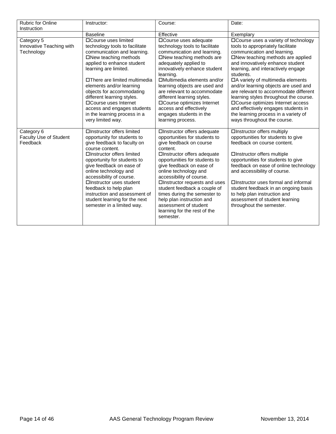| <b>Rubric for Online</b><br>Instruction              | Instructor:                                                                                                                                                                                                                                                                                                                                                                                                    | Course:                                                                                                                                                                                                                                                                                                                                                                                                                                                  | Date:                                                                                                                                                                                                                                                                                                                                                                                                                                                                                                                                                    |
|------------------------------------------------------|----------------------------------------------------------------------------------------------------------------------------------------------------------------------------------------------------------------------------------------------------------------------------------------------------------------------------------------------------------------------------------------------------------------|----------------------------------------------------------------------------------------------------------------------------------------------------------------------------------------------------------------------------------------------------------------------------------------------------------------------------------------------------------------------------------------------------------------------------------------------------------|----------------------------------------------------------------------------------------------------------------------------------------------------------------------------------------------------------------------------------------------------------------------------------------------------------------------------------------------------------------------------------------------------------------------------------------------------------------------------------------------------------------------------------------------------------|
|                                                      | <b>Baseline</b>                                                                                                                                                                                                                                                                                                                                                                                                | Effective                                                                                                                                                                                                                                                                                                                                                                                                                                                | Exemplary                                                                                                                                                                                                                                                                                                                                                                                                                                                                                                                                                |
| Category 5<br>Innovative Teaching with<br>Technology | □Course uses limited<br>technology tools to facilitate<br>communication and learning.<br>□New teaching methods<br>applied to enhance student<br>learning are limited.<br>□There are limited multimedia<br>elements and/or learning<br>objects for accommodating<br>different learning styles.<br>□ Course uses Internet<br>access and engages students<br>in the learning process in a<br>very limited way.    | □Course uses adequate<br>technology tools to facilitate<br>communication and learning.<br>□New teaching methods are<br>adequately applied to<br>innovatively enhance student<br>learning.<br>□Multimedia elements and/or<br>learning objects are used and<br>are relevant to accommodate<br>different learning styles.<br>□Course optimizes Internet<br>access and effectively<br>engages students in the<br>learning process.                           | □ Course uses a variety of technology<br>tools to appropriately facilitate<br>communication and learning.<br>□New teaching methods are applied<br>and innovatively enhance student<br>learning, and interactively engage<br>students.<br>□A variety of multimedia elements<br>and/or learning objects are used and<br>are relevant to accommodate different<br>learning styles throughout the course.<br>□Course optimizes Internet access<br>and effectively engages students in<br>the learning process in a variety of<br>ways throughout the course. |
| Category 6<br>Faculty Use of Student<br>Feedback     | □Instructor offers limited<br>opportunity for students to<br>give feedback to faculty on<br>course content.<br>□Instructor offers limited<br>opportunity for students to<br>give feedback on ease of<br>online technology and<br>accessibility of course.<br>□Instructor uses student<br>feedback to help plan<br>instruction and assessment of<br>student learning for the next<br>semester in a limited way. | □Instructor offers adequate<br>opportunities for students to<br>give feedback on course<br>content.<br>□Instructor offers adequate<br>opportunities for students to<br>give feedback on ease of<br>online technology and<br>accessibility of course.<br>□Instructor requests and uses<br>student feedback a couple of<br>times during the semester to<br>help plan instruction and<br>assessment of student<br>learning for the rest of the<br>semester. | □Instructor offers multiply<br>opportunities for students to give<br>feedback on course content.<br>□Instructor offers multiple<br>opportunities for students to give<br>feedback on ease of online technology<br>and accessibility of course.<br>□Instructor uses formal and informal<br>student feedback in an ongoing basis<br>to help plan instruction and<br>assessment of student learning<br>throughout the semester.                                                                                                                             |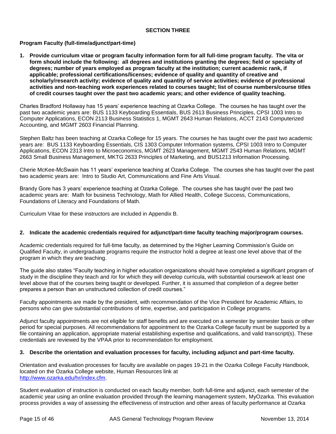# **SECTION THREE**

# **Program Faculty (full-time/adjunct/part-time)**

**1. Provide curriculum vitae or program faculty information form for all full-time program faculty. The vita or form should include the following: all degrees and institutions granting the degrees; field or specialty of degrees; number of years employed as program faculty at the institution; current academic rank, if applicable; professional certifications/licenses; evidence of quality and quantity of creative and scholarly/research activity; evidence of quality and quantity of service activities; evidence of professional activities and non-teaching work experiences related to courses taught; list of course numbers/course titles of credit courses taught over the past two academic years; and other evidence of quality teaching.**

Charles Bradford Hollaway has 15 years' experience teaching at Ozarka College. The courses he has taught over the past two academic years are: BUS 1133 Keyboarding Essentials, BUS 2613 Business Principles, CPSI 1003 Intro to Computer Applications, ECON 2113 Business Statistics 1, MGMT 2643 Human Relations, ACCT 2143 Computerized Accounting, and MGMT 2603 Financial Planning.

Stephen Baltz has been teaching at Ozarka College for 15 years. The courses he has taught over the past two academic years are: BUS 1133 Keyboarding Essentials, CIS 1303 Computer Information systems, CPSI 1003 Intro to Computer Applications, ECON 2313 Intro to Microeconomics, MGMT 2623 Management, MGMT 2543 Human Relations, MGMT 2663 Small Business Management, MKTG 2633 Principles of Marketing, and BUS1213 Information Processing.

Cherie McKee-McSwain has 11 years' experience teaching at Ozarka College. The courses she has taught over the past two academic years are: Intro to Studio Art, Communications and Fine Arts Visual.

Brandy Gore has 3 years' experience teaching at Ozarka College. The courses she has taught over the past two academic years are: Math for business Technology, Math for Allied Health, College Success, Communications, Foundations of Literacy and Foundations of Math.

Curriculum Vitae for these instructors are included in Appendix B.

#### **2. Indicate the academic credentials required for adjunct/part-time faculty teaching major/program courses.**

Academic credentials required for full-time faculty, as determined by the Higher Learning Commission's Guide on Qualified Faculty, in undergraduate programs require the instructor hold a degree at least one level above that of the program in which they are teaching.

The guide also states "Faculty teaching in higher education organizations should have completed a significant program of study in the discipline they teach and /or for which they will develop curricula, with substantial coursework at least one level above that of the courses being taught or developed. Further, it is assumed that completion of a degree better prepares a person than an unstructured collection of credit courses."

Faculty appointments are made by the president, with recommendation of the Vice President for Academic Affairs, to persons who can give substantial contributions of time, expertise, and participation in College programs.

Adjunct faculty appointments are not eligible for staff benefits and are executed on a semester by semester basis or other period for special purposes. All recommendations for appointment to the Ozarka College faculty must be supported by a file containing an application, appropriate material establishing expertise and qualifications, and valid transcript(s). These credentials are reviewed by the VPAA prior to recommendation for employment.

#### **3. Describe the orientation and evaluation processes for faculty, including adjunct and part-time faculty.**

Orientation and evaluation processes for faculty are available on pages 19-21 in the Ozarka College Faculty Handbook, located on the Ozarka College website, Human Resources link at [http://www.ozarka.edu/hr/index.cfm.](http://www.ozarka.edu/hr/index.cfm)

Student evaluation of instruction is conducted on each faculty member, both full-time and adjunct, each semester of the academic year using an online evaluation provided through the learning management system, MyOzarka. This evaluation process provides a way of assessing the effectiveness of instruction and other areas of faculty performance at Ozarka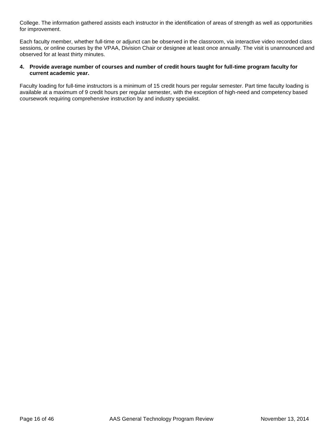College. The information gathered assists each instructor in the identification of areas of strength as well as opportunities for improvement.

Each faculty member, whether full-time or adjunct can be observed in the classroom, via interactive video recorded class sessions, or online courses by the VPAA, Division Chair or designee at least once annually. The visit is unannounced and observed for at least thirty minutes.

# **4. Provide average number of courses and number of credit hours taught for full-time program faculty for current academic year.**

Faculty loading for full-time instructors is a minimum of 15 credit hours per regular semester. Part time faculty loading is available at a maximum of 9 credit hours per regular semester, with the exception of high-need and competency based coursework requiring comprehensive instruction by and industry specialist.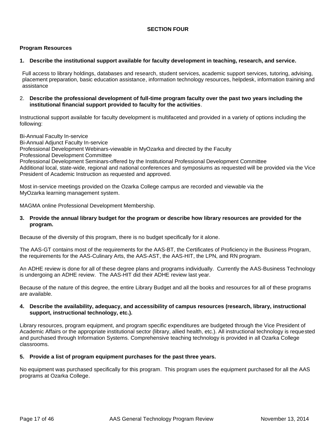# **SECTION FOUR**

# **Program Resources**

#### **1. Describe the institutional support available for faculty development in teaching, research, and service.**

Full access to library holdings, databases and research, student services, academic support services, tutoring, advising, placement preparation, basic education assistance, information technology resources, helpdesk, information training and assistance

### 2. **Describe the professional development of full-time program faculty over the past two years including the institutional financial support provided to faculty for the activities**.

Instructional support available for faculty development is multifaceted and provided in a variety of options including the following:

Bi-Annual Faculty In-service Bi-Annual Adjunct Faculty In-service Professional Development Webinars-viewable in MyOzarka and directed by the Faculty Professional Development Committee Professional Development Seminars-offered by the Institutional Professional Development Committee Additional local, state-wide, regional and national conferences and symposiums as requested will be provided via the Vice President of Academic Instruction as requested and approved.

Most in-service meetings provided on the Ozarka College campus are recorded and viewable via the MyOzarka learning management system.

MAGMA online Professional Development Membership.

#### **3. Provide the annual library budget for the program or describe how library resources are provided for the program.**

Because of the diversity of this program, there is no budget specifically for it alone.

The AAS-GT contains most of the requirements for the AAS-BT, the Certificates of Proficiency in the Business Program, the requirements for the AAS-Culinary Arts, the AAS-AST, the AAS-HIT, the LPN, and RN program.

An ADHE review is done for all of these degree plans and programs individually. Currently the AAS-Business Technology is undergoing an ADHE review. The AAS-HIT did their ADHE review last year.

Because of the nature of this degree, the entire Library Budget and all the books and resources for all of these programs are available.

#### **4. Describe the availability, adequacy, and accessibility of campus resources (research, library, instructional support, instructional technology, etc.).**

Library resources, program equipment, and program specific expenditures are budgeted through the Vice President of Academic Affairs or the appropriate institutional sector (library, allied health, etc.). All instructional technology is requested and purchased through Information Systems. Comprehensive teaching technology is provided in all Ozarka College classrooms.

#### **5. Provide a list of program equipment purchases for the past three years.**

No equipment was purchased specifically for this program. This program uses the equipment purchased for all the AAS programs at Ozarka College.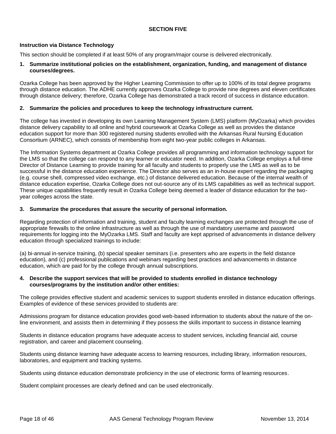# **SECTION FIVE**

# **Instruction via Distance Technology**

This section should be completed if at least 50% of any program/major course is delivered electronically.

#### **1. Summarize institutional policies on the establishment, organization, funding, and management of distance courses/degrees.**

Ozarka College has been approved by the Higher Learning Commission to offer up to 100% of its total degree programs through distance education. The ADHE currently approves Ozarka College to provide nine degrees and eleven certificates through distance delivery; therefore, Ozarka College has demonstrated a track record of success in distance education.

### **2. Summarize the policies and procedures to keep the technology infrastructure current.**

The college has invested in developing its own Learning Management System (LMS) platform (MyOzarka) which provides distance delivery capability to all online and hybrid coursework at Ozarka College as well as provides the distance education support for more than 300 registered nursing students enrolled with the Arkansas Rural Nursing Education Consortium (ARNEC), which consists of membership from eight two-year public colleges in Arkansas.

The Information Systems department at Ozarka College provides all programming and information technology support for the LMS so that the college can respond to any learner or educator need. In addition, Ozarka College employs a full-time Director of Distance Learning to provide training for all faculty and students to properly use the LMS as well as to be successful in the distance education experience. The Director also serves as an in-house expert regarding the packaging (e.g. course shell, compressed video exchange, etc.) of distance delivered education. Because of the internal wealth of distance education expertise, Ozarka College does not out-source any of its LMS capabilities as well as technical support. These unique capabilities frequently result in Ozarka College being deemed a leader of distance education for the twoyear colleges across the state.

# **3. Summarize the procedures that assure the security of personal information.**

Regarding protection of information and training, student and faculty learning exchanges are protected through the use of appropriate firewalls to the online infrastructure as well as through the use of mandatory username and password requirements for logging into the MyOzarka LMS. Staff and faculty are kept apprised of advancements in distance delivery education through specialized trainings to include:

(a) bi-annual in-service training, (b) special speaker seminars (i.e. presenters who are experts in the field distance education), and (c) professional publications and webinars regarding best practices and advancements in distance education, which are paid for by the college through annual subscriptions.

#### **4. Describe the support services that will be provided to students enrolled in distance technology courses/programs by the institution and/or other entities:**

The college provides effective student and academic services to support students enrolled in distance education offerings. Examples of evidence of these services provided to students are:

Admissions program for distance education provides good web-based information to students about the nature of the online environment, and assists them in determining if they possess the skills important to success in distance learning

Students in distance education programs have adequate access to student services, including financial aid, course registration, and career and placement counseling.

Students using distance learning have adequate access to learning resources, including library, information resources, laboratories, and equipment and tracking systems.

Students using distance education demonstrate proficiency in the use of electronic forms of learning resources.

Student complaint processes are clearly defined and can be used electronically.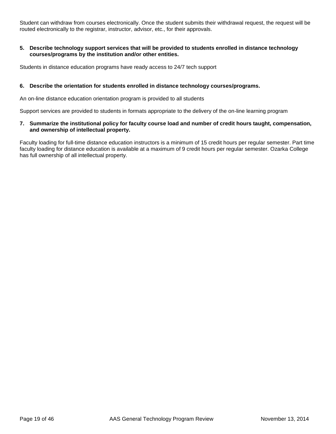Student can withdraw from courses electronically. Once the student submits their withdrawal request, the request will be routed electronically to the registrar, instructor, advisor, etc., for their approvals.

# **5. Describe technology support services that will be provided to students enrolled in distance technology courses/programs by the institution and/or other entities.**

Students in distance education programs have ready access to 24/7 tech support

# **6. Describe the orientation for students enrolled in distance technology courses/programs.**

An on-line distance education orientation program is provided to all students

Support services are provided to students in formats appropriate to the delivery of the on-line learning program

# **7. Summarize the institutional policy for faculty course load and number of credit hours taught, compensation, and ownership of intellectual property.**

Faculty loading for full-time distance education instructors is a minimum of 15 credit hours per regular semester. Part time faculty loading for distance education is available at a maximum of 9 credit hours per regular semester. Ozarka College has full ownership of all intellectual property.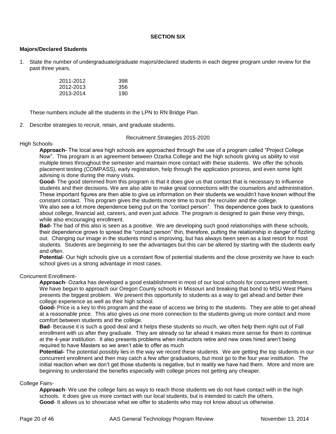# **SECTION SIX**

# **Majors/Declared Students**

1. State the number of undergraduate/graduate majors/declared students in each degree program under review for the past three years.

| 2011-2012 | 398 |
|-----------|-----|
| 2012-2013 | 356 |
| 2013-2014 | 190 |

These numbers include all the students in the LPN to RN Bridge Plan.

2. Describe strategies to recruit, retain, and graduate students.

Recruitment Strategies 2015-2020

# High Schools-

**Approach-** The local area high schools are approached through the use of a program called "Project College Now". This program is an agreement between Ozarka College and the high schools giving us ability to visit multiple times throughout the semester and maintain more contact with these students. We offer the schools placement testing (COMPASS), early registration, help through the application process, and even some light advising is done during the many visits.

**Good-** The good stemmed from this program is that it does give us that contact that is necessary to influence students and their decisions. We are also able to make great connections with the counselors and administration. These important figures are then able to give us information on their students we wouldn't have known without the constant contact. This program gives the students more time to trust the recruiter and the college.

We also see a lot more dependence being put on the "contact person". This dependence goes back to questions about college, financial aid, careers, and even just advice. The program is designed to gain these very things, while also encouraging enrollment.

**Bad-** The bad of this also is seen as a positive. We are developing such good relationships with these schools, their dependence grows to spread the "contact person" thin, therefore, putting the relationship in danger of fizzling out. Changing our image in the students mind is improving, but has always been seen as a last resort for most students. Students are beginning to see the advantages but this can be altered by starting with the students early and often.

**Potential**- Our high schools give us a constant flow of potential students and the close proximity we have to each school gives us a strong advantage in most cases.

#### Concurrent Enrollment-

**Approach**- Ozarka has developed a good establishment in most of our local schools for concurrent enrollment. We have begun to approach our Oregon County schools in Missouri and breaking that bond to MSU West Plains presents the biggest problem. We present this opportunity to students as a way to get ahead and better their college experience as well as their high school.

**Good-** Price is a key to this program and the ease of access we bring to the students. They are able to get ahead at a reasonable price. This also gives us one more connection to the students giving us more contact and more comfort between students and the college.

**Bad**- Because it is such a good deal and it helps these students so much, we often help them right out of Fall enrollment with us after they graduate. They are already so far ahead it makes more sense for them to continue at the 4-year institution. It also presents problems when instructors retire and new ones hired aren't being required to have Masters so we aren't able to offer as much

**Potential-** The potential possibly lies in the way we record these students. We are getting the top students in our concurrent enrollment and then may catch a few after graduations, but most go to the four year institution. The initial reaction when we don't get those students is negative, but in reality we have had them. More and more are beginning to understand the benefits especially with college prices not getting any cheaper.

#### College Fairs-

**Approach**- We use the college fairs as ways to reach those students we do not have contact with in the high schools. It does give us more contact with our local students, but is intended to catch the others. **Good**- It allows us to showcase what we offer to students who may not know about us otherwise.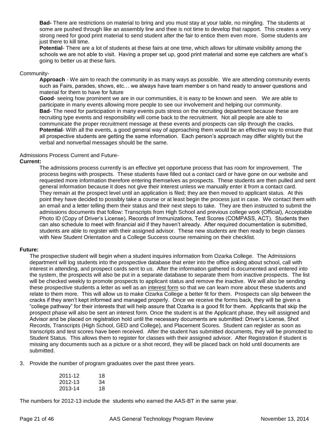**Bad-** There are restrictions on material to bring and you must stay at your table, no mingling. The students at some are pushed through like an assembly line and thee is not time to develop that rapport. This creates a very strong need for good print material to send student after the fair to entice them even more. Some students are just there to kill time.

**Potential**- There are a lot of students at these fairs at one time, which allows for ultimate visibility among the schools we are not able to visit. Having a proper set up, good print material and some eye catchers are what's going to better us at these fairs.

#### Community-

**Approach** - We aim to reach the community in as many ways as possible. We are attending community events such as Fairs, parades, shows, etc… we always have team member s on hand ready to answer questions and material for them to have for future

**Good**- seeing how prominent we are in our communities, it is easy to be known and seen. We are able to participate in many events allowing more people to see our involvement and helping our community. **Bad**- The need for participation in many events puts stress on the recruiting department because these are recruiting type events and responsibility will come back to the recruitment. Not all people are able to communicate the proper recruitment message at these events and prospects can slip through the cracks. **Potential**- With all the events, a good general way of approaching them would be an effective way to ensure that all prospective students are getting the same information. Each person's approach may differ slightly but the verbal and nonverbal messages should be the same.

#### Admissions Process Current and Future-

#### **Current:**

The admissions process currently is an effective yet opportune process that has room for improvement. The process begins with prospects. These students have filled out a contact card or have gone on our website and requested more information therefore entering themselves as prospects. These students are then pulled and sent general information because it does not give their interest unless we manually enter it from a contact card. They remain at the prospect level until an application is filed; they are then moved to applicant status. At this point they have decided to possibly take a course or at least begin the process just in case. We contact them with an email and a letter telling them their status and their next steps to take. They are then instructed to submit the admissions documents that follow: Transcripts from High School and previous college work (Official), Acceptable Photo ID (Copy of Driver's License), Records of Immunizations, Test Scores (COMPASS, ACT). Students then can also schedule to meet with financial aid if they haven't already. After required documentation is submitted, students are able to register with their assigned advisor. These new students are then ready to begin classes with New Student Orientation and a College Success course remaining on their checklist.

#### **Future:**

The prospective student will begin when a student inquires information from Ozarka College. The Admissions department will log students into the prospective database that enter into the office asking about school, call with interest in attending, and prospect cards sent to us. After the information gathered is documented and entered into the system, the prospects will also be put in a separate database to separate them from inactive prospects. The list will be checked weekly to promote prospects to applicant status and remove the inactive. We will also be sending these prospective students a letter as well as an interest form so that we can learn more about these students and relate to them more. This will allow us to make Ozarka College a better fit for them. Prospects can slip between the cracks if they aren't kept informed and managed properly. Once we receive the forms back, they will be given a "college pathway" for their interests that will help assure that Ozarka is a good fit for them. Applicants that skip the prospect phase will also be sent an interest form. Once the student is at the Applicant phase, they will assigned and Advisor and be placed on registration hold until the necessary documents are submitted: Driver's License, Shot Records, Transcripts (High School, GED and College), and Placement Scores. Student can register as soon as transcripts and test scores have been received. After the student has submitted documents, they will be promoted to Student Status. This allows them to register for classes with their assigned advisor. After Registration if student is missing any documents such as a picture or a shot record, they will be placed back on hold until documents are submitted.

3. Provide the number of program graduates over the past three years.

| 2011-12 | 18 |
|---------|----|
| 2012-13 | 34 |
| 2013-14 | 18 |

The numbers for 2012-13 include the students who earned the AAS-BT in the same year.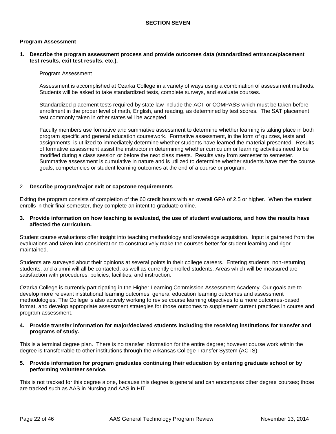### **Program Assessment**

**1. Describe the program assessment process and provide outcomes data (standardized entrance/placement test results, exit test results, etc.).**

#### Program Assessment

Assessment is accomplished at Ozarka College in a variety of ways using a combination of assessment methods. Students will be asked to take standardized tests, complete surveys, and evaluate courses.

Standardized placement tests required by state law include the ACT or COMPASS which must be taken before enrollment in the proper level of math, English, and reading, as determined by test scores. The SAT placement test commonly taken in other states will be accepted.

Faculty members use formative and summative assessment to determine whether learning is taking place in both program specific and general education coursework. Formative assessment, in the form of quizzes, tests and assignments, is utilized to immediately determine whether students have learned the material presented. Results of formative assessment assist the instructor in determining whether curriculum or learning activities need to be modified during a class session or before the next class meets. Results vary from semester to semester. Summative assessment is cumulative in nature and is utilized to determine whether students have met the course goals, competencies or student learning outcomes at the end of a course or program.

#### 2. **Describe program/major exit or capstone requirements**.

Exiting the program consists of completion of the 60 credit hours with an overall GPA of 2.5 or higher. When the student enrolls in their final semester, they complete an intent to graduate online.

#### **3. Provide information on how teaching is evaluated, the use of student evaluations, and how the results have affected the curriculum.**

Student course evaluations offer insight into teaching methodology and knowledge acquisition. Input is gathered from the evaluations and taken into consideration to constructively make the courses better for student learning and rigor maintained.

Students are surveyed about their opinions at several points in their college careers. Entering students, non-returning students, and alumni will all be contacted, as well as currently enrolled students. Areas which will be measured are satisfaction with procedures, policies, facilities, and instruction.

Ozarka College is currently participating in the Higher Learning Commission Assessment Academy. Our goals are to develop more relevant institutional learning outcomes, general education learning outcomes and assessment methodologies. The College is also actively working to revise course learning objectives to a more outcomes-based format, and develop appropriate assessment strategies for those outcomes to supplement current practices in course and program assessment.

#### **4. Provide transfer information for major/declared students including the receiving institutions for transfer and programs of study.**

This is a terminal degree plan. There is no transfer information for the entire degree; however course work within the degree is transferrable to other institutions through the Arkansas College Transfer System (ACTS).

#### **5. Provide information for program graduates continuing their education by entering graduate school or by performing volunteer service.**

This is not tracked for this degree alone, because this degree is general and can encompass other degree courses; those are tracked such as AAS in Nursing and AAS in HIT.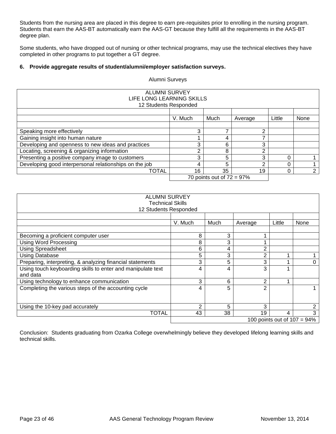Students from the nursing area are placed in this degree to earn pre-requisites prior to enrolling in the nursing program. Students that earn the AAS-BT automatically earn the AAS-GT because they fulfill all the requirements in the AAS-BT degree plan.

Some students, who have dropped out of nursing or other technical programs, may use the technical electives they have completed in other programs to put together a GT degree.

# **6. Provide aggregate results of student/alumni/employer satisfaction surveys.**

Alumni Surveys

| <b>ALUMNI SURVEY</b><br>LIFE LONG LEARNING SKILLS<br>12 Students Responded |         |                              |         |        |      |
|----------------------------------------------------------------------------|---------|------------------------------|---------|--------|------|
|                                                                            | V. Much | Much                         | Average | Little | None |
|                                                                            | 3       |                              | ⌒       |        |      |
| Speaking more effectively<br>Gaining insight into human nature             |         | 4                            |         |        |      |
| Developing and openness to new ideas and practices                         | 3       | 6                            | 3       |        |      |
| Locating, screening & organizing information                               |         | 8                            | ⌒       |        |      |
| Presenting a positive company image to customers                           | 3       | 5                            | 3       |        |      |
| Developing good interpersonal relationships on the job                     |         | 5                            |         |        |      |
| <b>TOTAL</b>                                                               | 16      | 35                           | 19      |        | ⌒    |
|                                                                            |         | 70 points out of $72 = 97\%$ |         |        |      |

| <b>ALUMNI SURVEY</b><br><b>Technical Skills</b><br>12 Students Responded |               |      |                |        |      |
|--------------------------------------------------------------------------|---------------|------|----------------|--------|------|
|                                                                          | V. Much       | Much | Average        | Little | None |
| Becoming a proficient computer user                                      | 8             | 3    |                |        |      |
| Using Word Processing                                                    | 8             | 3    |                |        |      |
| <b>Using Spreadsheet</b>                                                 | 6             | 4    | $\overline{2}$ |        |      |
| <b>Using Database</b>                                                    | 5             | 3    | 2              |        |      |
| Preparing, interpreting, & analyzing financial statements                | 3             | 5    | 3              |        | 0    |
| Using touch keyboarding skills to enter and manipulate text<br>and data  | 4             | 4    | 3              |        |      |
| Using technology to enhance communication                                | 3             | 6    | $\overline{2}$ |        |      |
| Completing the various steps of the accounting cycle                     | 4             | 5    | $\overline{2}$ |        |      |
| Using the 10-key pad accurately                                          | $\mathcal{P}$ | 5    | 3              |        | 2    |
| TOTAL                                                                    | 43            | 38   | 19             | 4      | 3    |
| 100 points out of $107 = 94\%$                                           |               |      |                |        |      |

Conclusion: Students graduating from Ozarka College overwhelmingly believe they developed lifelong learning skills and technical skills.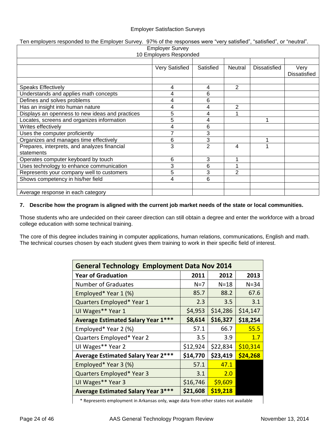# Employer Satisfaction Surveys

# Ten employers responded to the Employer Survey. 97% of the responses were "very satisfied", "satisfied", or "neutral".

| <b>Employer Survey</b><br>10 Employers Responded |                |           |                |              |                     |
|--------------------------------------------------|----------------|-----------|----------------|--------------|---------------------|
|                                                  |                |           |                |              |                     |
|                                                  | Very Satisfied | Satisfied | Neutral        | Dissatisfied | Very                |
|                                                  |                |           |                |              | <b>Dissatisfied</b> |
|                                                  |                |           |                |              |                     |
| <b>Speaks Effectively</b>                        | 4              | 4         | $\overline{2}$ |              |                     |
| Understands and applies math concepts            | 4              | 6         |                |              |                     |
| Defines and solves problems                      | 4              | 6         |                |              |                     |
| Has an insight into human nature                 | 4              | 4         | 2              |              |                     |
| Displays an openness to new ideas and practices  | 5              | 4         |                |              |                     |
| Locates, screens and organizes information       | 5              | 4         |                |              |                     |
| Writes effectively                               | 4              | 6         |                |              |                     |
| Uses the computer proficiently                   |                | 3         |                |              |                     |
| Organizes and manages time effectively           | 6              | 3         |                |              |                     |
| Prepares, interprets, and analyzes financial     | 3              | 2         | 4              |              |                     |
| statements                                       |                |           |                |              |                     |
| Operates computer keyboard by touch              | 6              | 3         |                |              |                     |
| Uses technology to enhance communication         | 3              | 6         |                |              |                     |
| Represents your company well to customers        | 5              | 3         | $\overline{2}$ |              |                     |
| Shows competency in his/her field                | 4              | 6         |                |              |                     |
|                                                  |                |           |                |              |                     |
| Average response in each category                |                |           |                |              |                     |

#### **7. Describe how the program is aligned with the current job market needs of the state or local communities.**

Those students who are undecided on their career direction can still obtain a degree and enter the workforce with a broad college education with some technical training.

The core of this degree includes training in computer applications, human relations, communications, English and math. The technical courses chosen by each student gives them training to work in their specific field of interest.

| <b>General Technology Employment Data Nov 2014</b> |          |          |          |  |  |
|----------------------------------------------------|----------|----------|----------|--|--|
| <b>Year of Graduation</b>                          | 2011     | 2012     | 2013     |  |  |
| <b>Number of Graduates</b>                         | $N=7$    | $N = 18$ | $N = 34$ |  |  |
| Employed* Year 1 (%)                               | 85.7     | 88.2     | 67.6     |  |  |
| Quarters Employed* Year 1                          | 2.3      | 3.5      | 3.1      |  |  |
| UI Wages** Year 1                                  | \$4,953  | \$14,286 | \$14,147 |  |  |
| <b>Average Estimated Salary Year 1***</b>          | \$8,614  | \$16,327 | \$18,254 |  |  |
| Employed* Year 2 (%)                               | 57.1     | 66.7     | 55.5     |  |  |
| Quarters Employed* Year 2                          | 3.5      | 3.9      | 1.7      |  |  |
| UI Wages** Year 2                                  | \$12,924 | \$22,834 | \$10,314 |  |  |
| <b>Average Estimated Salary Year 2***</b>          | \$14,770 | \$23,419 | \$24,268 |  |  |
| Employed* Year 3 (%)                               | 57.1     | 47.1     |          |  |  |
| Quarters Employed* Year 3                          | 3.1      | 2.0      |          |  |  |
| UI Wages** Year 3                                  | \$16,746 | \$9,609  |          |  |  |
| <b>Average Estimated Salary Year 3***</b>          | \$21,608 | \$19,218 |          |  |  |

\* Represents employment in Arkansas only, wage data from other states not available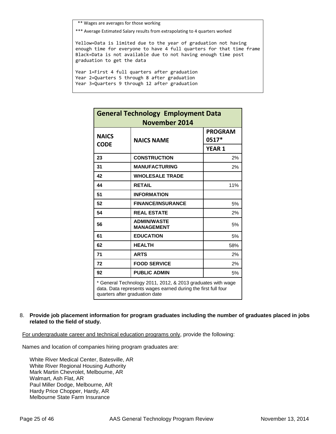\*\* Wages are averages for those working

\*\*\* Average Estimated Salary results from extrapolating to 4 quarters worked

Yellow=Data is limited due to the year of graduation not having enough time for everyone to have 4 full quarters for that time frame Black=Data is not available due to not having enough time post graduation to get the data

Year 1=First 4 full quarters after graduation Year 2=Quarters 5 through 8 after graduation Year 3=Quarters 9 through 12 after graduation

| <b>General Technology Employment Data</b><br><b>November 2014</b>                                                                                              |                                         |                         |  |
|----------------------------------------------------------------------------------------------------------------------------------------------------------------|-----------------------------------------|-------------------------|--|
| <b>NAICS</b><br><b>CODE</b>                                                                                                                                    | <b>NAICS NAME</b>                       | <b>PROGRAM</b><br>0517* |  |
|                                                                                                                                                                |                                         | <b>YEAR 1</b>           |  |
| 23                                                                                                                                                             | <b>CONSTRUCTION</b>                     | 2%                      |  |
| 31                                                                                                                                                             | <b>MANUFACTURING</b>                    | 2%                      |  |
| 42                                                                                                                                                             | <b>WHOLESALE TRADE</b>                  |                         |  |
| 44                                                                                                                                                             | <b>RETAIL</b>                           | 11%                     |  |
| 51                                                                                                                                                             | <b>INFORMATION</b>                      |                         |  |
| 52                                                                                                                                                             | <b>FINANCE/INSURANCE</b>                | 5%                      |  |
| 54                                                                                                                                                             | <b>REAL ESTATE</b>                      | 2%                      |  |
| 56                                                                                                                                                             | <b>ADMIN/WASTE</b><br><b>MANAGEMENT</b> | 5%                      |  |
| 61                                                                                                                                                             | <b>EDUCATION</b>                        | 5%                      |  |
| 62                                                                                                                                                             | <b>HEALTH</b>                           | 58%                     |  |
| 71                                                                                                                                                             | <b>ARTS</b>                             | 2%                      |  |
| 72                                                                                                                                                             | <b>FOOD SERVICE</b>                     | 2%                      |  |
| 92                                                                                                                                                             | <b>PUBLIC ADMIN</b>                     | 5%                      |  |
| * General Technology 2011, 2012, & 2013 graduates with wage<br>data. Data represents wages earned during the first full four<br>quarters after graduation date |                                         |                         |  |

# 8. **Provide job placement information for program graduates including the number of graduates placed in jobs related to the field of study.**

For undergraduate career and technical education programs only, provide the following:

Names and location of companies hiring program graduates are:

White River Medical Center, Batesville, AR White River Regional Housing Authority Mark Martin Chevrolet, Melbourne, AR Walmart, Ash Flat, AR Paul Miller Dodge, Melbourne, AR Hardy Price Chopper, Hardy, AR Melbourne State Farm Insurance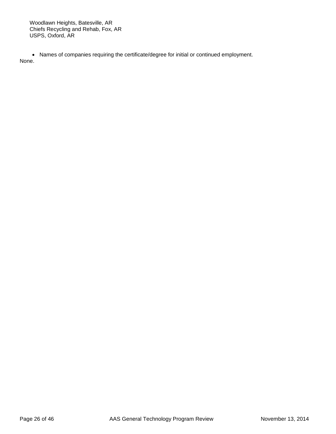Woodlawn Heights, Batesville, AR Chiefs Recycling and Rehab, Fox, AR USPS, Oxford, AR

 Names of companies requiring the certificate/degree for initial or continued employment. None.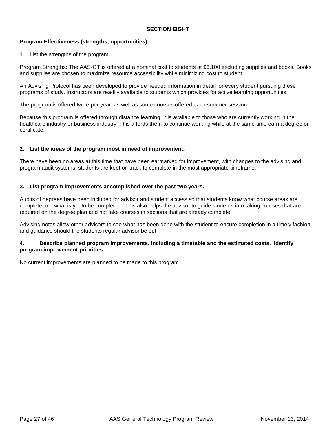# **SECTION EIGHT**

# **Program Effectiveness (strengths, opportunities)**

1. List the strengths of the program.

Program Strengths: The AAS-GT is offered at a nominal cost to students at \$6,100 excluding supplies and books. Books and supplies are chosen to maximize resource accessibility while minimizing cost to student.

An Advising Protocol has been developed to provide needed information in detail for every student pursuing these programs of study. Instructors are readily available to students which provides for active learning opportunities.

The program is offered twice per year, as well as some courses offered each summer session.

Because this program is offered through distance learning, it is available to those who are currently working in the healthcare industry or business industry. This affords them to continue working while at the same time earn a degree or certificate.

# **2. List the areas of the program most in need of improvement.**

There have been no areas at this time that have been earmarked for improvement, with changes to the advising and program audit systems, students are kept on track to complete in the most appropriate timeframe.

#### **3. List program improvements accomplished over the past two years.**

Audits of degrees have been included for advisor and student access so that students know what course areas are complete and what is yet to be completed. This also helps the advisor to guide students into taking courses that are required on the degree plan and not take courses in sections that are already complete.

Advising notes allow other advisors to see what has been done with the student to ensure completion in a timely fashion and guidance should the students regular advisor be out.

#### **4. Describe planned program improvements, including a timetable and the estimated costs. Identify program improvement priorities.**

No current improvements are planned to be made to this program.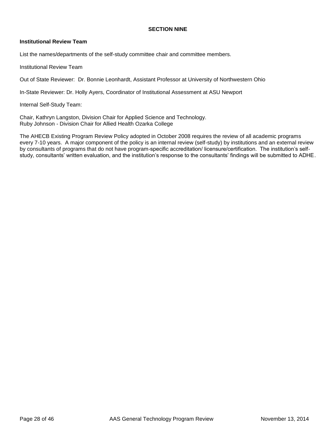# **SECTION NINE**

#### **Institutional Review Team**

List the names/departments of the self-study committee chair and committee members.

Institutional Review Team

Out of State Reviewer: Dr. Bonnie Leonhardt, Assistant Professor at University of Northwestern Ohio

In-State Reviewer: Dr. Holly Ayers, Coordinator of Institutional Assessment at ASU Newport

Internal Self-Study Team:

Chair, Kathryn Langston, Division Chair for Applied Science and Technology. Ruby Johnson - Division Chair for Allied Health Ozarka College

The AHECB Existing Program Review Policy adopted in October 2008 requires the review of all academic programs every 7-10 years. A major component of the policy is an internal review (self-study) by institutions and an external review by consultants of programs that do not have program-specific accreditation/ licensure/certification. The institution's selfstudy, consultants' written evaluation, and the institution's response to the consultants' findings will be submitted to ADHE.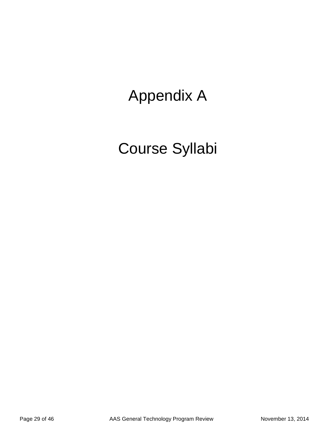# Appendix A

# Course Syllabi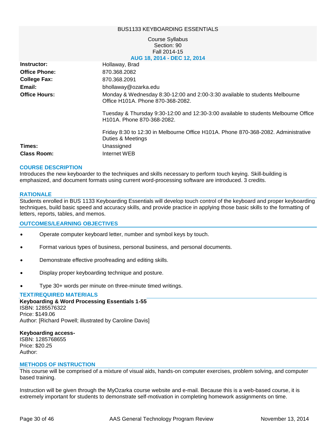#### BUS1133 KEYBOARDING ESSENTIALS

#### Course Syllabus Section: 90 Fall 2014-15 **AUG 18, 2014 - DEC 12, 2014**

| Instructor:          | Hollaway, Brad                                                                                                                 |
|----------------------|--------------------------------------------------------------------------------------------------------------------------------|
| <b>Office Phone:</b> | 870.368.2082                                                                                                                   |
| <b>College Fax:</b>  | 870.368.2091                                                                                                                   |
| Email:               | bhollaway@ozarka.edu                                                                                                           |
| <b>Office Hours:</b> | Monday & Wednesday 8:30-12:00 and 2:00-3:30 available to students Melbourne<br>Office H101A. Phone 870-368-2082.               |
|                      | Tuesday & Thursday 9:30-12:00 and 12:30-3:00 available to students Melbourne Office<br>H <sub>101</sub> A. Phone 870-368-2082. |
|                      | Friday 8:30 to 12:30 in Melbourne Office H101A. Phone 870-368-2082. Administrative<br>Duties & Meetings                        |
| Times:               | Unassigned                                                                                                                     |
| <b>Class Room:</b>   | Internet WEB                                                                                                                   |

#### **COURSE DESCRIPTION**

Introduces the new keyboarder to the techniques and skills necessary to perform touch keying. Skill-building is emphasized, and document formats using current word-processing software are introduced. 3 credits.

#### **RATIONALE**

Students enrolled in BUS 1133 Keyboarding Essentials will develop touch control of the keyboard and proper keyboarding techniques, build basic speed and accuracy skills, and provide practice in applying those basic skills to the formatting of letters, reports, tables, and memos.

#### **OUTCOMES/LEARNING OBJECTIVES**

- Operate computer keyboard letter, number and symbol keys by touch.
- Format various types of business, personal business, and personal documents.
- Demonstrate effective proofreading and editing skills.
- Display proper keyboarding technique and posture.
- Type 30+ words per minute on three-minute timed writings.

#### **TEXT/REQUIRED MATERIALS**

**Keyboarding & Word Processing Essentials 1-55** ISBN: 1285576322 Price: \$149.06 Author: [Richard Powell; illustrated by Caroline Davis]

#### **Keyboarding access-**

ISBN: 1285768655 Price: \$20.25 Author:

#### **METHODS OF INSTRUCTION**

This course will be comprised of a mixture of visual aids, hands-on computer exercises, problem solving, and computer based training.

Instruction will be given through the MyOzarka course website and e-mail. Because this is a web-based course, it is extremely important for students to demonstrate self-motivation in completing homework assignments on time.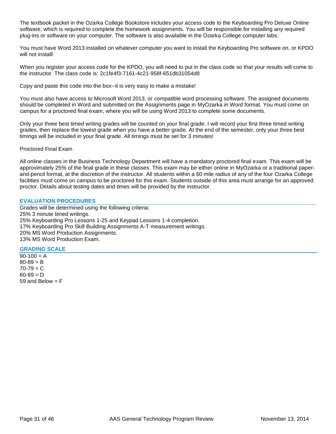The textbook packet in the Ozarka College Bookstore includes your access code to the Keyboarding Pro Deluxe Online software, which is required to complete the homework assignments. You will be responsible for installing any required plug-ins or software on your computer. The software is also available in the Ozarka College computer labs.

You must have Word 2013 installed on whatever computer you want to install the Keyboarding Pro software on, or KPDO will not install!

When you register your access code for the KPDO, you will need to put in the class code so that your results will come to the instructor. The class code is: 2c1fe4f3-7161-4c21-958f-651db31054d8

Copy and paste this code into the box--it is very easy to make a mistake!

You must also have access to Microsoft Word 2013, or compatible word processing software. The assigned documents should be completed in Word and submitted on the Assignments page in MyOzarka in Word format. You must come on campus for a proctored final exam, where you will be using Word 2013 to complete some documents.

Only your three best timed writing grades will be counted on your final grade. I will record your first three timed writing grades, then replace the lowest grade when you have a better grade. At the end of the semester, only your three best timings will be included in your final grade. All timings must be set for 3 minutes!

#### Proctored Final Exam

All online classes in the Business Technology Department will have a mandatory proctored final exam. This exam will be approximately 25% of the final grade in these classes. This exam may be either online in MyOzarka or a traditional paperand-pencil format, at the discretion of the instructor. All students within a 60 mile radius of any of the four Ozarka College facilities must come on campus to be proctored for this exam. Students outside of this area must arrange for an approved proctor. Details about testing dates and times will be provided by the instructor.

#### **EVALUATION PROCEDURES**

Grades will be determined using the following criteria: 25% 3 minute timed writings. 25% Keyboarding Pro Lessons 1-25 and Keypad Lessons 1-4 completion. 17% Keyboarding Pro Skill Building Assignments A-T measurement writings. 20% MS Word Production Assignments. 13% MS Word Production Exam.

#### **GRADING SCALE**

 $90-100 = A$  $80 - 89 = B$  $70 - 79 = C$  $60 - 69 = D$ 59 and Below  $=$  F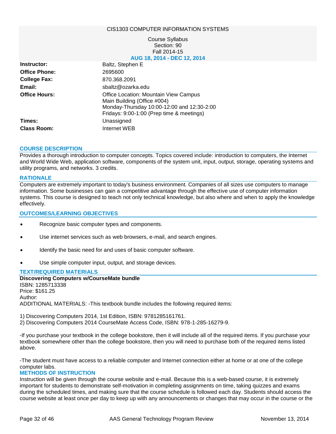#### CIS1303 COMPUTER INFORMATION SYSTEMS

#### Course Syllabus Section: 90 Fall 2014-15 **AUG 18, 2014 - DEC 12, 2014**

| Instructor:          | Baltz, Stephen E                                                                                                                                                |
|----------------------|-----------------------------------------------------------------------------------------------------------------------------------------------------------------|
| <b>Office Phone:</b> | 2695600                                                                                                                                                         |
| <b>College Fax:</b>  | 870.368.2091                                                                                                                                                    |
| Email:               | sbaltz@ozarka.edu                                                                                                                                               |
| <b>Office Hours:</b> | Office Location: Mountain View Campus<br>Main Building (Office #004)<br>Monday-Thursday 10:00-12:00 and 12:30-2:00<br>Fridays: 9:00-1:00 (Prep time & meetings) |
| Times:               | Unassigned                                                                                                                                                      |
| <b>Class Room:</b>   | Internet WEB                                                                                                                                                    |
|                      |                                                                                                                                                                 |

#### **COURSE DESCRIPTION**

Provides a thorough introduction to computer concepts. Topics covered include: introduction to computers, the Internet and World Wide Web, application software, components of the system unit, input, output, storage, operating systems and utility programs, and networks. 3 credits.

#### **RATIONALE**

Computers are extremely important to today's business environment. Companies of all sizes use computers to manage information. Some businesses can gain a competitive advantage through the effective use of computer information systems. This course is designed to teach not only technical knowledge, but also where and when to apply the knowledge effectively.

#### **OUTCOMES/LEARNING OBJECTIVES**

- Recognize basic computer types and components.
- Use internet services such as web browsers, e-mail, and search engines.
- Identify the basic need for and uses of basic computer software.
- Use simple computer input, output, and storage devices.

#### **TEXT/REQUIRED MATERIALS**

**Discovering Computers w/CourseMate bundle** ISBN: 1285713338 Price: \$161.25 Author: ADDITIONAL MATERIALS: -This textbook bundle includes the following required items:

1) Discovering Computers 2014, 1st Edition, ISBN: 9781285161761.

2) Discovering Computers 2014 CourseMate Access Code, ISBN: 978-1-285-16279-9.

-If you purchase your textbook in the college bookstore, then it will include all of the required items. If you purchase your textbook somewhere other than the college bookstore, then you will need to purchase both of the required items listed above.

-The student must have access to a reliable computer and Internet connection either at home or at one of the college computer labs.

#### **METHODS OF INSTRUCTION**

Instruction will be given through the course website and e-mail. Because this is a web-based course, it is extremely important for students to demonstrate self-motivation in completing assignments on time, taking quizzes and exams during the scheduled times, and making sure that the course schedule is followed each day. Students should access the course website at least once per day to keep up with any announcements or changes that may occur in the course or the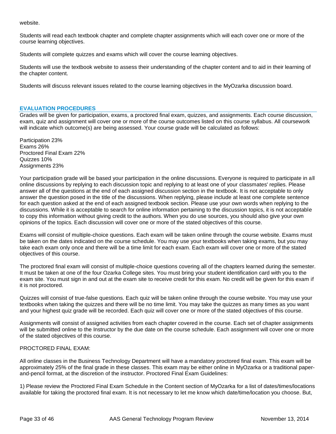website.

Students will read each textbook chapter and complete chapter assignments which will each cover one or more of the course learning objectives.

Students will complete quizzes and exams which will cover the course learning objectives.

Students will use the textbook website to assess their understanding of the chapter content and to aid in their learning of the chapter content.

Students will discuss relevant issues related to the course learning objectives in the MyOzarka discussion board.

#### **EVALUATION PROCEDURES**

Grades will be given for participation, exams, a proctored final exam, quizzes, and assignments. Each course discussion, exam, quiz and assignment will cover one or more of the course outcomes listed on this course syllabus. All coursework will indicate which outcome(s) are being assessed. Your course grade will be calculated as follows:

Participation 23% Exams 26% Proctored Final Exam 22% Quizzes 10% Assignments 23%

Your participation grade will be based your participation in the online discussions. Everyone is required to participate in all online discussions by replying to each discussion topic and replying to at least one of your classmates' replies. Please answer all of the questions at the end of each assigned discussion section in the textbook. It is not acceptable to only answer the question posed in the title of the discussions. When replying, please include at least one complete sentence for each question asked at the end of each assigned textbook section. Please use your own words when replying to the discussions. While it is acceptable to search for online information pertaining to the discussion topics, it is not acceptable to copy this information without giving credit to the authors. When you do use sources, you should also give your own opinions of the topics. Each discussion will cover one or more of the stated objectives of this course.

Exams will consist of multiple-choice questions. Each exam will be taken online through the course website. Exams must be taken on the dates indicated on the course schedule. You may use your textbooks when taking exams, but you may take each exam only once and there will be a time limit for each exam. Each exam will cover one or more of the stated objectives of this course.

The proctored final exam will consist of multiple-choice questions covering all of the chapters learned during the semester. It must be taken at one of the four Ozarka College sites. You must bring your student identification card with you to the exam site. You must sign in and out at the exam site to receive credit for this exam. No credit will be given for this exam if it is not proctored.

Quizzes will consist of true-false questions. Each quiz will be taken online through the course website. You may use your textbooks when taking the quizzes and there will be no time limit. You may take the quizzes as many times as you want and your highest quiz grade will be recorded. Each quiz will cover one or more of the stated objectives of this course.

Assignments will consist of assigned activities from each chapter covered in the course. Each set of chapter assignments will be submitted online to the Instructor by the due date on the course schedule. Each assignment will cover one or more of the stated objectives of this course.

# PROCTORED FINAL EXAM:

All online classes in the Business Technology Department will have a mandatory proctored final exam. This exam will be approximately 25% of the final grade in these classes. This exam may be either online in MyOzarka or a traditional paperand-pencil format, at the discretion of the instructor. Proctored Final Exam Guidelines:

1) Please review the Proctored Final Exam Schedule in the Content section of MyOzarka for a list of dates/times/locations available for taking the proctored final exam. It is not necessary to let me know which date/time/location you choose. But,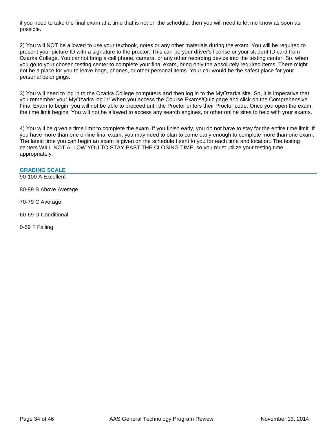if you need to take the final exam at a time that is not on the schedule, then you will need to let me know as soon as possible.

2) You will NOT be allowed to use your textbook, notes or any other materials during the exam. You will be required to present your picture ID with a signature to the proctor. This can be your driver's license or your student ID card from Ozarka College. You cannot bring a cell phone, camera, or any other recording device into the testing center. So, when you go to your chosen testing center to complete your final exam, bring only the absolutely required items. There might not be a place for you to leave bags, phones, or other personal items. Your car would be the safest place for your personal belongings.

3) You will need to log in to the Ozarka College computers and then log in to the MyOzarka site. So, it is imperative that you remember your MyOzarka log in! When you access the Course Exams/Quiz page and click on the Comprehensive Final Exam to begin, you will not be able to proceed until the Proctor enters their Proctor code. Once you open the exam, the time limit begins. You will not be allowed to access any search engines, or other online sites to help with your exams.

4) You will be given a time limit to complete the exam. If you finish early, you do not have to stay for the entire time limit. If you have more than one online final exam, you may need to plan to come early enough to complete more than one exam. The latest time you can begin an exam is given on the schedule I sent to you for each time and location. The testing centers WILL NOT ALLOW YOU TO STAY PAST THE CLOSING TIME, so you must utilize your testing time appropriately.

# **GRADING SCALE**

90-100 A Excellent

80-89 B Above Average

70-79 C Average

60-69 D Conditional

0-59 F Failing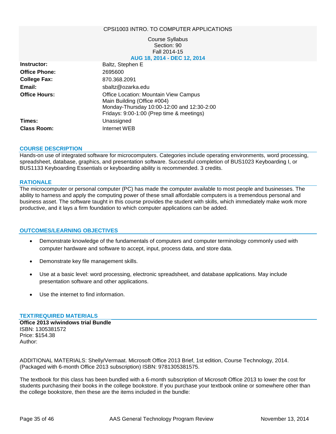#### CPSI1003 INTRO. TO COMPUTER APPLICATIONS

#### Course Syllabus Section: 90 Fall 2014-15 **AUG 18, 2014 - DEC 12, 2014**

| Instructor:          | Baltz, Stephen E                                                                                                                                                |
|----------------------|-----------------------------------------------------------------------------------------------------------------------------------------------------------------|
| <b>Office Phone:</b> | 2695600                                                                                                                                                         |
| <b>College Fax:</b>  | 870.368.2091                                                                                                                                                    |
| Email:               | sbaltz@ozarka.edu                                                                                                                                               |
| <b>Office Hours:</b> | Office Location: Mountain View Campus<br>Main Building (Office #004)<br>Monday-Thursday 10:00-12:00 and 12:30-2:00<br>Fridays: 9:00-1:00 (Prep time & meetings) |
| Times:               | Unassigned                                                                                                                                                      |
| <b>Class Room:</b>   | Internet WEB                                                                                                                                                    |
|                      |                                                                                                                                                                 |

#### **COURSE DESCRIPTION**

Hands-on use of integrated software for microcomputers. Categories include operating environments, word processing, spreadsheet, database, graphics, and presentation software. Successful completion of BUS1023 Keyboarding I, or BUS1133 Keyboarding Essentials or keyboarding ability is recommended. 3 credits.

#### **RATIONALE**

The microcomputer or personal computer (PC) has made the computer available to most people and businesses. The ability to harness and apply the computing power of these small affordable computers is a tremendous personal and business asset. The software taught in this course provides the student with skills, which immediately make work more productive, and it lays a firm foundation to which computer applications can be added.

#### **OUTCOMES/LEARNING OBJECTIVES**

- Demonstrate knowledge of the fundamentals of computers and computer terminology commonly used with computer hardware and software to accept, input, process data, and store data.
- Demonstrate key file management skills.
- Use at a basic level: word processing, electronic spreadsheet, and database applications. May include presentation software and other applications.
- Use the internet to find information.

#### **TEXT/REQUIRED MATERIALS**

**Office 2013 w/windows trial Bundle** ISBN: 1305381572 Price: \$154.38 Author:

ADDITIONAL MATERIALS: Shelly/Vermaat. Microsoft Office 2013 Brief, 1st edition, Course Technology, 2014. (Packaged with 6-month Office 2013 subscription) ISBN: 9781305381575.

The textbook for this class has been bundled with a 6-month subscription of Microsoft Office 2013 to lower the cost for students purchasing their books in the college bookstore. If you purchase your textbook online or somewhere other than the college bookstore, then these are the items included in the bundle: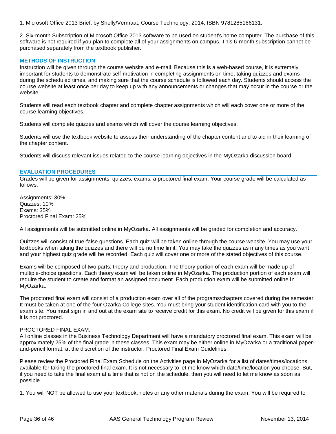1. Microsoft Office 2013 Brief, by Shelly/Vermaat, Course Technology, 2014, ISBN 9781285166131.

2. Six-month Subscription of Microsoft Office 2013 software to be used on student's home computer. The purchase of this software is not required if you plan to complete all of your assignments on campus. This 6-month subscription cannot be purchased separately from the textbook publisher.

# **METHODS OF INSTRUCTION**

Instruction will be given through the course website and e-mail. Because this is a web-based course, it is extremely important for students to demonstrate self-motivation in completing assignments on time, taking quizzes and exams during the scheduled times, and making sure that the course schedule is followed each day. Students should access the course website at least once per day to keep up with any announcements or changes that may occur in the course or the website.

Students will read each textbook chapter and complete chapter assignments which will each cover one or more of the course learning objectives.

Students will complete quizzes and exams which will cover the course learning objectives.

Students will use the textbook website to assess their understanding of the chapter content and to aid in their learning of the chapter content.

Students will discuss relevant issues related to the course learning objectives in the MyOzarka discussion board.

#### **EVALUATION PROCEDURES**

Grades will be given for assignments, quizzes, exams, a proctored final exam. Your course grade will be calculated as follows:

Assignments: 30% Quizzes: 10% Exams: 35% Proctored Final Exam: 25%

All assignments will be submitted online in MyOzarka. All assignments will be graded for completion and accuracy.

Quizzes will consist of true-false questions. Each quiz will be taken online through the course website. You may use your textbooks when taking the quizzes and there will be no time limit. You may take the quizzes as many times as you want and your highest quiz grade will be recorded. Each quiz will cover one or more of the stated objectives of this course.

Exams will be composed of two parts: theory and production. The theory portion of each exam will be made up of multiple-choice questions. Each theory exam will be taken online in MyOzarka. The production portion of each exam will require the student to create and format an assigned document. Each production exam will be submitted online in MyOzarka.

The proctored final exam will consist of a production exam over all of the programs/chapters covered during the semester. It must be taken at one of the four Ozarka College sites. You must bring your student identification card with you to the exam site. You must sign in and out at the exam site to receive credit for this exam. No credit will be given for this exam if it is not proctored.

#### PROCTORED FINAL EXAM:

All online classes in the Business Technology Department will have a mandatory proctored final exam. This exam will be approximately 25% of the final grade in these classes. This exam may be either online in MyOzarka or a traditional paperand-pencil format, at the discretion of the instructor. Proctored Final Exam Guidelines:

Please review the Proctored Final Exam Schedule on the Activities page in MyOzarka for a list of dates/times/locations available for taking the proctored final exam. It is not necessary to let me know which date/time/location you choose. But, if you need to take the final exam at a time that is not on the schedule, then you will need to let me know as soon as possible.

1. You will NOT be allowed to use your textbook, notes or any other materials during the exam. You will be required to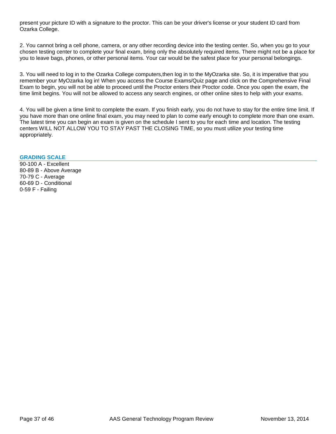present your picture ID with a signature to the proctor. This can be your driver's license or your student ID card from Ozarka College.

2. You cannot bring a cell phone, camera, or any other recording device into the testing center. So, when you go to your chosen testing center to complete your final exam, bring only the absolutely required items. There might not be a place for you to leave bags, phones, or other personal items. Your car would be the safest place for your personal belongings.

3. You will need to log in to the Ozarka College computers,then log in to the MyOzarka site. So, it is imperative that you remember your MyOzarka log in! When you access the Course Exams/Quiz page and click on the Comprehensive Final Exam to begin, you will not be able to proceed until the Proctor enters their Proctor code. Once you open the exam, the time limit begins. You will not be allowed to access any search engines, or other online sites to help with your exams.

4. You will be given a time limit to complete the exam. If you finish early, you do not have to stay for the entire time limit. If you have more than one online final exam, you may need to plan to come early enough to complete more than one exam. The latest time you can begin an exam is given on the schedule I sent to you for each time and location. The testing centers WILL NOT ALLOW YOU TO STAY PAST THE CLOSING TIME, so you must utilize your testing time appropriately.

#### **GRADING SCALE**

90-100 A - Excellent 80-89 B - Above Average 70-79 C - Average 60-69 D - Conditional 0-59 F - Failing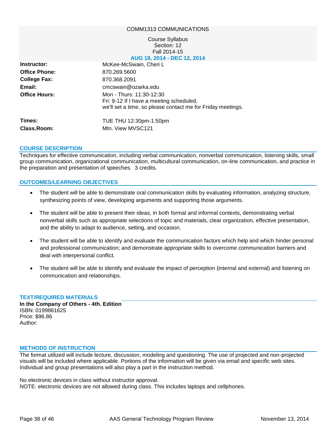#### COMM1313 COMMUNICATIONS

#### Course Syllabus Section: 12 Fall 2014-15 **AUG 18, 2014 - DEC 12, 2014**

| Instructor:          | McKee-McSwain, Cheri L                                                                                                              |
|----------------------|-------------------------------------------------------------------------------------------------------------------------------------|
| <b>Office Phone:</b> | 870.269.5600                                                                                                                        |
| <b>College Fax:</b>  | 870.368.2091                                                                                                                        |
| Email:               | cmcswain@ozarka.edu                                                                                                                 |
| <b>Office Hours:</b> | Mon - Thurs: 11:30-12:30<br>Fri: 9-12 If I have a meeting scheduled,<br>we'll set a time, so please contact me for Friday meetings. |
| Times:               | TUE THU 12:30pm-1:50pm                                                                                                              |
| Class.Room:          | Mtn. View MVSC121                                                                                                                   |

#### **COURSE DESCRIPTION**

Techniques for effective communication, including verbal communication, nonverbal communication, listening skills, small group communication, organizational communication, multicultural communication, on-line communication, and practice in the preparation and presentation of speeches. 3 credits.

# **OUTCOMES/LEARNING OBJECTIVES**

- The student will be able to demonstrate oral communication skills by evaluating information, analyzing structure, synthesizing points of view, developing arguments and supporting those arguments.
- The student will be able to present their ideas, in both formal and informal contexts, demonstrating verbal nonverbal skills such as appropriate selections of topic and materials, clear organization, effective presentation, and the ability to adapt to audience, setting, and occasion.
- The student will be able to identify and evaluate the communication factors which help and which hinder personal and professional communication; and demonstrate appropriate skills to overcome communication barriers and deal with interpersonal conflict.
- The student will be able to identify and evaluate the impact of perception (internal and external) and listening on communication and relationships.

### **TEXT/REQUIRED MATERIALS**

**In the Company of Others - 4th. Edition** ISBN: 0199861625 Price: \$96.86 Author:

#### **METHODS OF INSTRUCTION**

The format utilized will include lecture, discussion, modeling and questioning. The use of projected and non-projected visuals will be included where applicable. Portions of the information will be given via email and specific web sites. Individual and group presentations will also play a part in the instruction method.

No electronic devices in class without instructor approval. NOTE: electronic devices are not allowed during class. This includes laptops and cellphones.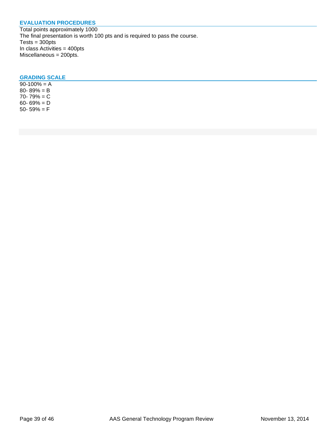# **EVALUATION PROCEDURES**

Total points approximately 1000 The final presentation is worth 100 pts and is required to pass the course.  $Tests = 300pts$ In class Activities = 400pts Miscellaneous = 200pts.

# **GRADING SCALE**

 $90-100% = A$ 80- 89% = B 70- 79% = C 60- 69% = D 50- 59%  $=$  F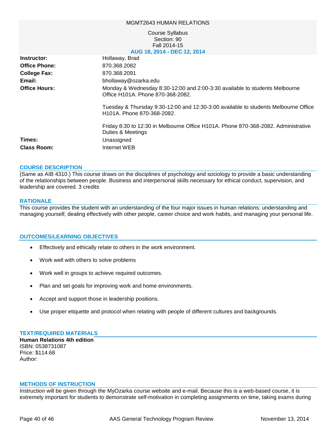#### MGMT2643 HUMAN RELATIONS

#### Course Syllabus Section: 90 Fall 2014-15 **AUG 18, 2014 - DEC 12, 2014**

| Instructor:          | Hollaway, Brad                                                                                                                 |
|----------------------|--------------------------------------------------------------------------------------------------------------------------------|
| <b>Office Phone:</b> | 870.368.2082                                                                                                                   |
| <b>College Fax:</b>  | 870.368.2091                                                                                                                   |
| Email:               | bhollaway@ozarka.edu                                                                                                           |
| <b>Office Hours:</b> | Monday & Wednesday 8:30-12:00 and 2:00-3:30 available to students Melbourne<br>Office H101A. Phone 870-368-2082.               |
|                      | Tuesday & Thursday 9:30-12:00 and 12:30-3:00 available to students Melbourne Office<br>H <sub>101</sub> A. Phone 870-368-2082. |
|                      | Friday 8:30 to 12:30 in Melbourne Office H101A. Phone 870-368-2082. Administrative<br>Duties & Meetings                        |
| Times:               | Unassigned                                                                                                                     |
| <b>Class Room:</b>   | Internet WEB                                                                                                                   |
|                      |                                                                                                                                |

#### **COURSE DESCRIPTION**

(Same as AIB 4310.) This course draws on the disciplines of psychology and sociology to provide a basic understanding of the relationships between people. Business and interpersonal skills necessary for ethical conduct, supervision, and leadership are covered. 3 credits

#### **RATIONALE**

This course provides the student with an understanding of the four major issues in human relations: understanding and managing yourself, dealing effectively with other people, career choice and work habits, and managing your personal life.

#### **OUTCOMES/LEARNING OBJECTIVES**

- Effectively and ethically relate to others in the work environment.
- Work well with others to solve problems
- Work well in groups to achieve required outcomes.
- Plan and set goals for improving work and home environments.
- Accept and support those in leadership positions.
- Use proper etiquette and protocol when relating with people of different cultures and backgrounds.

#### **TEXT/REQUIRED MATERIALS**

**Human Relations 4th edition** ISBN: 0538731087 Price: \$114.68 Author:

#### **METHODS OF INSTRUCTION**

Instruction will be given through the MyOzarka course website and e-mail. Because this is a web-based course, it is extremely important for students to demonstrate self-motivation in completing assignments on time, taking exams during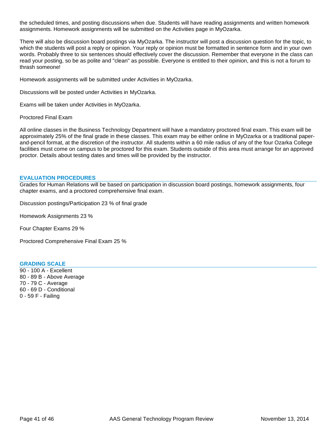the scheduled times, and posting discussions when due. Students will have reading assignments and written homework assignments. Homework assignments will be submitted on the Activities page in MyOzarka.

There will also be discussion board postings via MyOzarka. The instructor will post a discussion question for the topic, to which the students will post a reply or opinion. Your reply or opinion must be formatted in sentence form and in your own words. Probably three to six sentences should effectively cover the discussion. Remember that everyone in the class can read your posting, so be as polite and "clean" as possible. Everyone is entitled to their opinion, and this is not a forum to thrash someone!

Homework assignments will be submitted under Activities in MyOzarka.

Discussions will be posted under Activities in MyOzarka.

Exams will be taken under Activities in MyOzarka.

Proctored Final Exam

All online classes in the Business Technology Department will have a mandatory proctored final exam. This exam will be approximately 25% of the final grade in these classes. This exam may be either online in MyOzarka or a traditional paperand-pencil format, at the discretion of the instructor. All students within a 60 mile radius of any of the four Ozarka College facilities must come on campus to be proctored for this exam. Students outside of this area must arrange for an approved proctor. Details about testing dates and times will be provided by the instructor.

#### **EVALUATION PROCEDURES**

Grades for Human Relations will be based on participation in discussion board postings, homework assignments, four chapter exams, and a proctored comprehensive final exam.

Discussion postings/Participation 23 % of final grade

Homework Assignments 23 %

Four Chapter Exams 29 %

Proctored Comprehensive Final Exam 25 %

### **GRADING SCALE**

90 - 100 A - Excellent 80 - 89 B - Above Average 70 - 79 C - Average 60 - 69 D - Conditional 0 - 59 F - Failing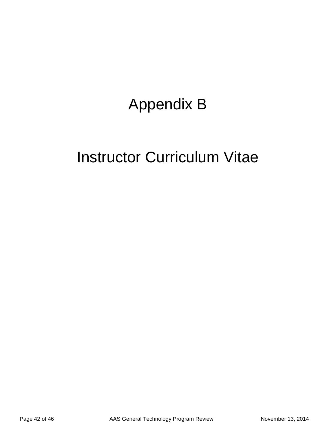# Appendix B

# Instructor Curriculum Vitae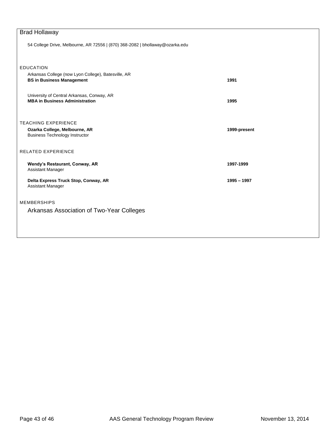| <b>Brad Hollaway</b>                                                          |              |  |  |
|-------------------------------------------------------------------------------|--------------|--|--|
| 54 College Drive, Melbourne, AR 72556   (870) 368-2082   bhollaway@ozarka.edu |              |  |  |
|                                                                               |              |  |  |
|                                                                               |              |  |  |
| <b>EDUCATION</b><br>Arkansas College (now Lyon College), Batesville, AR       |              |  |  |
| <b>BS in Business Management</b>                                              | 1991         |  |  |
|                                                                               |              |  |  |
| University of Central Arkansas, Conway, AR                                    |              |  |  |
| <b>MBA in Business Administration</b>                                         | 1995         |  |  |
|                                                                               |              |  |  |
| <b>TEACHING EXPERIENCE</b>                                                    |              |  |  |
| Ozarka College, Melbourne, AR                                                 | 1999-present |  |  |
| <b>Business Technology Instructor</b>                                         |              |  |  |
| <b>RELATED EXPERIENCE</b>                                                     |              |  |  |
|                                                                               |              |  |  |
| Wendy's Restaurant, Conway, AR                                                | 1997-1999    |  |  |
| Assistant Manager                                                             |              |  |  |
| Delta Express Truck Stop, Conway, AR                                          | 1995 - 1997  |  |  |
| Assistant Manager                                                             |              |  |  |
| <b>MEMBERSHIPS</b>                                                            |              |  |  |
|                                                                               |              |  |  |
| Arkansas Association of Two-Year Colleges                                     |              |  |  |
|                                                                               |              |  |  |
|                                                                               |              |  |  |
|                                                                               |              |  |  |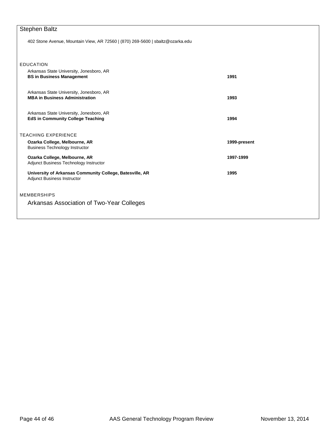# Stephen Baltz

402 Stone Avenue, Mountain View, AR 72560 | (870) 269-5600 | sbaltz@ozarka.edu

| <b>EDUCATION</b>                                                                        |              |
|-----------------------------------------------------------------------------------------|--------------|
| Arkansas State University, Jonesboro, AR<br><b>BS in Business Management</b>            | 1991         |
| Arkansas State University, Jonesboro, AR<br><b>MBA in Business Administration</b>       | 1993         |
| Arkansas State University, Jonesboro, AR<br><b>EdS in Community College Teaching</b>    | 1994         |
| <b>TEACHING EXPERIENCE</b>                                                              |              |
| Ozarka College, Melbourne, AR<br><b>Business Technology Instructor</b>                  | 1999-present |
| Ozarka College, Melbourne, AR<br>Adjunct Business Technology Instructor                 | 1997-1999    |
| University of Arkansas Community College, Batesville, AR<br>Adjunct Business Instructor | 1995         |
| <b>MEMBERSHIPS</b>                                                                      |              |
| Arkansas Association of Two-Year Colleges                                               |              |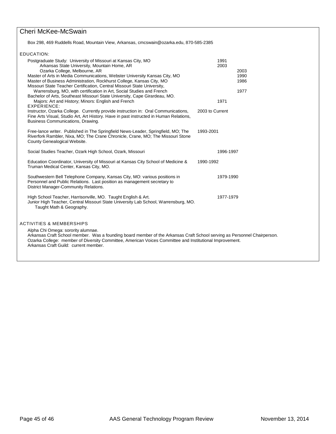# Cheri McKee-McSwain

Box 298, 469 Ruddells Road, Mountain View, Arkansas[, cmcswain@ozarka.edu,](mailto:cmcswain@ozarka.edu) 870-585-2385

|                                                                                                                                                                                                                                                                                                                                                           | EDUCATION:                                                                                                                                                                                                                                                                                                                                                                                                                                                                                                                                                                                                                                                                                                                                                                                                                          |                                         |                              |  |  |  |
|-----------------------------------------------------------------------------------------------------------------------------------------------------------------------------------------------------------------------------------------------------------------------------------------------------------------------------------------------------------|-------------------------------------------------------------------------------------------------------------------------------------------------------------------------------------------------------------------------------------------------------------------------------------------------------------------------------------------------------------------------------------------------------------------------------------------------------------------------------------------------------------------------------------------------------------------------------------------------------------------------------------------------------------------------------------------------------------------------------------------------------------------------------------------------------------------------------------|-----------------------------------------|------------------------------|--|--|--|
|                                                                                                                                                                                                                                                                                                                                                           | Postgraduate Study: University of Missouri at Kansas City, MO<br>Arkansas State University, Mountain Home, AR<br>Ozarka College, Melbourne, AR<br>Master of Arts in Media Communications, Webster University Kansas City, MO<br>Master of Business Administration, Rockhurst College, Kansas City, MO<br>Missouri State Teacher Certification, Central Missouri State University,<br>Warrensburg, MO, with certification in Art, Social Studies and French<br>Bachelor of Arts, Southeast Missouri State University, Cape Girardeau, MO.<br>Majors: Art and History; Minors: English and French<br>EXPERIENCE:<br>Instructor, Ozarka College. Currently provide instruction in: Oral Communications,<br>Fine Arts Visual, Studio Art, Art History. Have in past instructed in Human Relations,<br>Business Communications, Drawing. | 1991<br>2003<br>1971<br>2003 to Current | 2003<br>1990<br>1986<br>1977 |  |  |  |
|                                                                                                                                                                                                                                                                                                                                                           | Free-lance writer. Published in The Springfield News-Leader, Springfield, MO; The<br>Riverfork Rambler, Nixa, MO; The Crane Chronicle, Crane, MO; The Missouri Stone<br>County Genealogical Website.                                                                                                                                                                                                                                                                                                                                                                                                                                                                                                                                                                                                                                | 1993-2001                               |                              |  |  |  |
|                                                                                                                                                                                                                                                                                                                                                           | Social Studies Teacher, Ozark High School, Ozark, Missouri                                                                                                                                                                                                                                                                                                                                                                                                                                                                                                                                                                                                                                                                                                                                                                          | 1996-1997                               |                              |  |  |  |
|                                                                                                                                                                                                                                                                                                                                                           | Education Coordinator, University of Missouri at Kansas City School of Medicine &<br>Truman Medical Center, Kansas City, MO.                                                                                                                                                                                                                                                                                                                                                                                                                                                                                                                                                                                                                                                                                                        | 1990-1992                               |                              |  |  |  |
|                                                                                                                                                                                                                                                                                                                                                           | Southwestern Bell Telephone Company, Kansas City, MO: various positions in<br>Personnel and Public Relations. Last position as management secretary to<br>District Manager-Community Relations.                                                                                                                                                                                                                                                                                                                                                                                                                                                                                                                                                                                                                                     | 1979-1990                               |                              |  |  |  |
|                                                                                                                                                                                                                                                                                                                                                           | High School Teacher, Harrisonville, MO. Taught English & Art.<br>Junior High Teacher, Central Missouri State University Lab School, Warrensburg, MO.<br>Taught Math & Geography.                                                                                                                                                                                                                                                                                                                                                                                                                                                                                                                                                                                                                                                    | 1977-1979                               |                              |  |  |  |
| <b>ACTIVITIES &amp; MEMBERSHIPS</b><br>Alpha Chi Omega: sorority alumnae.<br>Arkansas Craft School member. Was a founding board member of the Arkansas Craft School serving as Personnel Chairperson.<br>Ozarka College: member of Diversity Committee, American Voices Committee and Institutional Improvement.<br>Arkansas Craft Guild: current member. |                                                                                                                                                                                                                                                                                                                                                                                                                                                                                                                                                                                                                                                                                                                                                                                                                                     |                                         |                              |  |  |  |